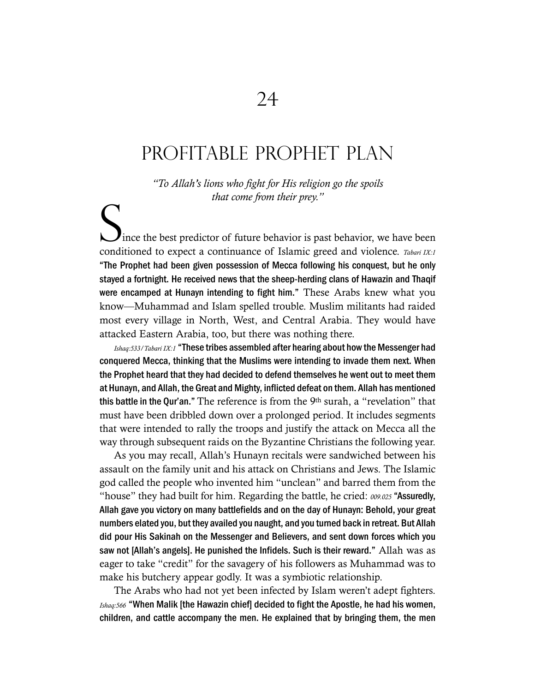## PROFITABLE PROPHET PLAN

*"To Allah's lions who fight for His religion go the spoils that come from their prey."*

Jince the best predictor of future behavior is past behavior, we have been conditioned to expect a continuance of Islamic greed and violence. *Tabari IX:1* "The Prophet had been given possession of Mecca following his conquest, but he only stayed a fortnight. He received news that the sheep-herding clans of Hawazin and Thaqif were encamped at Hunayn intending to fight him." These Arabs knew what you know—Muhammad and Islam spelled trouble. Muslim militants had raided most every village in North, West, and Central Arabia. They would have attacked Eastern Arabia, too, but there was nothing there.

*Ishaq:533/Tabari IX:1* "These tribes assembled after hearing about how the Messenger had conquered Mecca, thinking that the Muslims were intending to invade them next. When the Prophet heard that they had decided to defend themselves he went out to meet them at Hunayn, and Allah, the Great and Mighty, inflicted defeat on them. Allah has mentioned this battle in the Qur'an." The reference is from the  $9<sup>th</sup>$  surah, a "revelation" that must have been dribbled down over a prolonged period. It includes segments that were intended to rally the troops and justify the attack on Mecca all the way through subsequent raids on the Byzantine Christians the following year.

As you may recall, Allah's Hunayn recitals were sandwiched between his assault on the family unit and his attack on Christians and Jews. The Islamic god called the people who invented him "unclean" and barred them from the "house" they had built for him. Regarding the battle, he cried: *009.025* "Assuredly, Allah gave you victory on many battlefields and on the day of Hunayn: Behold, your great numbers elated you, but they availed you naught, and you turned back in retreat. But Allah did pour His Sakinah on the Messenger and Believers, and sent down forces which you saw not [Allah's angels]. He punished the Infidels. Such is their reward." Allah was as eager to take "credit" for the savagery of his followers as Muhammad was to make his butchery appear godly. It was a symbiotic relationship.

The Arabs who had not yet been infected by Islam weren't adept fighters. *Ishaq:566* "When Malik [the Hawazin chief] decided to fight the Apostle, he had his women, children, and cattle accompany the men. He explained that by bringing them, the men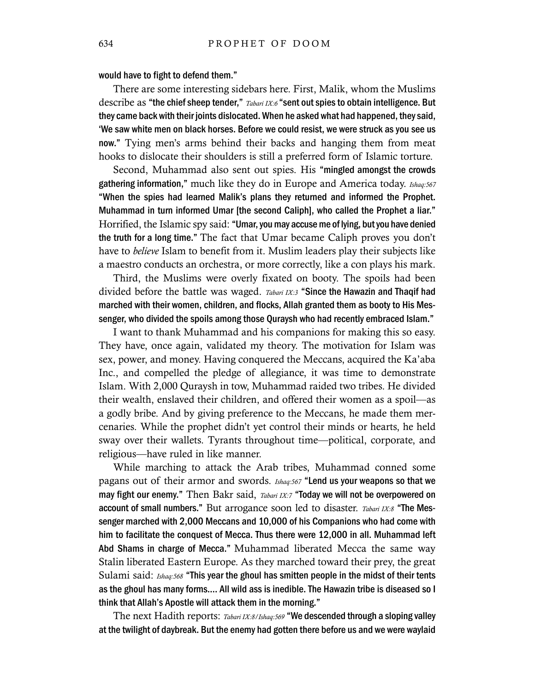would have to fight to defend them."

There are some interesting sidebars here. First, Malik, whom the Muslims describe as "the chief sheep tender," *Tabari IX:6* "sent out spies to obtain intelligence. But they came back with their joints dislocated. When he asked what had happened, they said, 'We saw white men on black horses. Before we could resist, we were struck as you see us now." Tying men's arms behind their backs and hanging them from meat hooks to dislocate their shoulders is still a preferred form of Islamic torture.

Second, Muhammad also sent out spies. His "mingled amongst the crowds gathering information," much like they do in Europe and America today. *Ishaq:567* "When the spies had learned Malik's plans they returned and informed the Prophet. Muhammad in turn informed Umar [the second Caliph], who called the Prophet a liar." Horrified, the Islamic spy said: "Umar, you may accuse me of lying, but you have denied the truth for a long time." The fact that Umar became Caliph proves you don't have to *believe* Islam to benefit from it. Muslim leaders play their subjects like a maestro conducts an orchestra, or more correctly, like a con plays his mark.

Third, the Muslims were overly fixated on booty. The spoils had been divided before the battle was waged. *Tabari IX:3* "Since the Hawazin and Thaqif had marched with their women, children, and flocks, Allah granted them as booty to His Messenger, who divided the spoils among those Quraysh who had recently embraced Islam."

I want to thank Muhammad and his companions for making this so easy. They have, once again, validated my theory. The motivation for Islam was sex, power, and money. Having conquered the Meccans, acquired the Ka'aba Inc., and compelled the pledge of allegiance, it was time to demonstrate Islam. With 2,000 Quraysh in tow, Muhammad raided two tribes. He divided their wealth, enslaved their children, and offered their women as a spoil—as a godly bribe. And by giving preference to the Meccans, he made them mercenaries. While the prophet didn't yet control their minds or hearts, he held sway over their wallets. Tyrants throughout time—political, corporate, and religious—have ruled in like manner.

While marching to attack the Arab tribes, Muhammad conned some pagans out of their armor and swords. *Ishaq:567* "Lend us your weapons so that we may fight our enemy." Then Bakr said, *Tabari IX:7* "Today we will not be overpowered on account of small numbers." But arrogance soon led to disaster. *Tabari IX:8* "The Messenger marched with 2,000 Meccans and 10,000 of his Companions who had come with him to facilitate the conquest of Mecca. Thus there were 12,000 in all. Muhammad left Abd Shams in charge of Mecca." Muhammad liberated Mecca the same way Stalin liberated Eastern Europe. As they marched toward their prey, the great Sulami said: *Ishaq:568* "This year the ghoul has smitten people in the midst of their tents as the ghoul has many forms…. All wild ass is inedible. The Hawazin tribe is diseased so I think that Allah's Apostle will attack them in the morning."

The next Hadith reports: *Tabari IX:8/Ishaq:569* "We descended through a sloping valley at the twilight of daybreak. But the enemy had gotten there before us and we were waylaid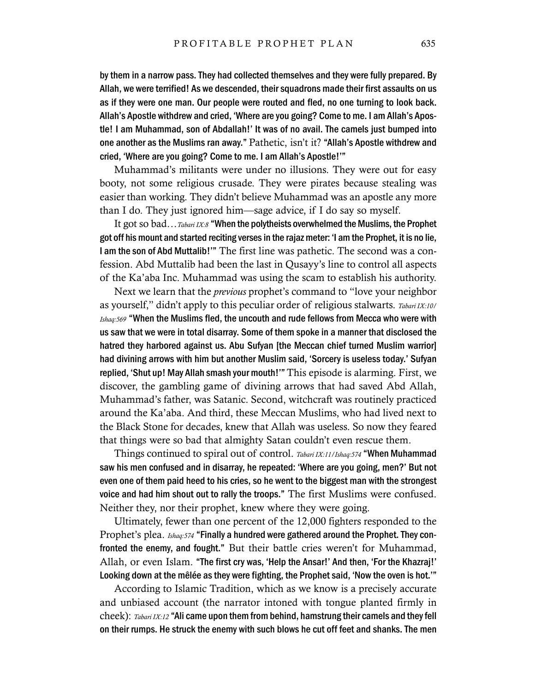by them in a narrow pass. They had collected themselves and they were fully prepared. By Allah, we were terrified! As we descended, their squadrons made their first assaults on us as if they were one man. Our people were routed and fled, no one turning to look back. Allah's Apostle withdrew and cried, 'Where are you going? Come to me. I am Allah's Apostle! I am Muhammad, son of Abdallah!' It was of no avail. The camels just bumped into one another as the Muslims ran away." Pathetic, isn't it? "Allah's Apostle withdrew and cried, 'Where are you going? Come to me. I am Allah's Apostle!'"

Muhammad's militants were under no illusions. They were out for easy booty, not some religious crusade. They were pirates because stealing was easier than working. They didn't believe Muhammad was an apostle any more than I do. They just ignored him—sage advice, if I do say so myself.

It got so bad…*Tabari IX:8* "When the polytheists overwhelmed the Muslims, the Prophet got off his mount and started reciting verses in the rajaz meter: 'I am the Prophet, it is no lie, I am the son of Abd Muttalib!'" The first line was pathetic. The second was a confession. Abd Muttalib had been the last in Qusayy's line to control all aspects of the Ka'aba Inc. Muhammad was using the scam to establish his authority.

Next we learn that the *previous* prophet's command to "love your neighbor as yourself," didn't apply to this peculiar order of religious stalwarts. *Tabari IX:10/ Ishaq:569* "When the Muslims fled, the uncouth and rude fellows from Mecca who were with us saw that we were in total disarray. Some of them spoke in a manner that disclosed the hatred they harbored against us. Abu Sufyan [the Meccan chief turned Muslim warrior] had divining arrows with him but another Muslim said, 'Sorcery is useless today.' Sufyan replied, 'Shut up! May Allah smash your mouth!'" This episode is alarming. First, we discover, the gambling game of divining arrows that had saved Abd Allah, Muhammad's father, was Satanic. Second, witchcraft was routinely practiced around the Ka'aba. And third, these Meccan Muslims, who had lived next to the Black Stone for decades, knew that Allah was useless. So now they feared that things were so bad that almighty Satan couldn't even rescue them.

Things continued to spiral out of control. *Tabari IX:11/Ishaq:574* "When Muhammad saw his men confused and in disarray, he repeated: 'Where are you going, men?' But not even one of them paid heed to his cries, so he went to the biggest man with the strongest voice and had him shout out to rally the troops." The first Muslims were confused. Neither they, nor their prophet, knew where they were going.

Ultimately, fewer than one percent of the 12,000 fighters responded to the Prophet's plea. *Ishaq:574* "Finally a hundred were gathered around the Prophet. They confronted the enemy, and fought." But their battle cries weren't for Muhammad, Allah, or even Islam. "The first cry was, 'Help the Ansar!' And then, 'For the Khazraj!' Looking down at the mêlée as they were fighting, the Prophet said, 'Now the oven is hot.'"

According to Islamic Tradition, which as we know is a precisely accurate and unbiased account (the narrator intoned with tongue planted firmly in cheek): *Tabari IX:12* "Ali came upon them from behind, hamstrung their camels and they fell on their rumps. He struck the enemy with such blows he cut off feet and shanks. The men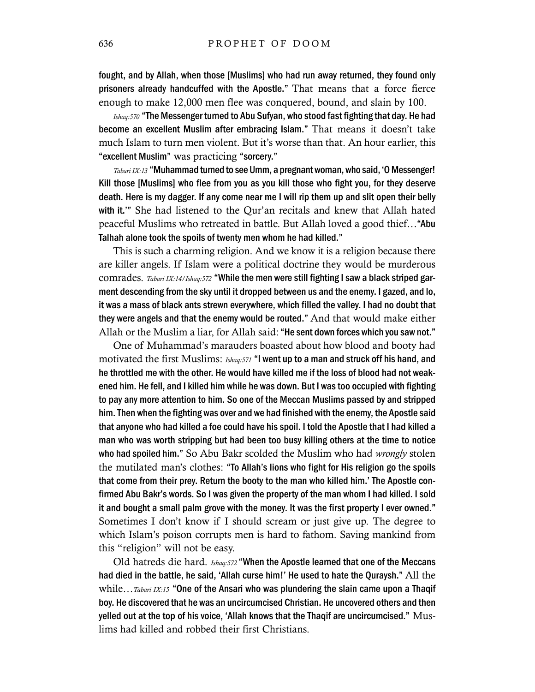fought, and by Allah, when those [Muslims] who had run away returned, they found only prisoners already handcuffed with the Apostle." That means that a force fierce enough to make 12,000 men flee was conquered, bound, and slain by 100.

*Ishaq:570* "The Messenger turned to Abu Sufyan, who stood fast fighting that day. He had become an excellent Muslim after embracing Islam." That means it doesn't take much Islam to turn men violent. But it's worse than that. An hour earlier, this "excellent Muslim" was practicing "sorcery."

*Tabari IX:13* "Muhammad turned to see Umm, a pregnant woman, who said, 'O Messenger! Kill those [Muslims] who flee from you as you kill those who fight you, for they deserve death. Here is my dagger. If any come near me I will rip them up and slit open their belly with it.'" She had listened to the Qur'an recitals and knew that Allah hated peaceful Muslims who retreated in battle. But Allah loved a good thief…"Abu Talhah alone took the spoils of twenty men whom he had killed."

This is such a charming religion. And we know it is a religion because there are killer angels. If Islam were a political doctrine they would be murderous comrades. *Tabari IX:14/Ishaq:572* "While the men were still fighting I saw a black striped garment descending from the sky until it dropped between us and the enemy. I gazed, and lo, it was a mass of black ants strewn everywhere, which filled the valley. I had no doubt that they were angels and that the enemy would be routed." And that would make either Allah or the Muslim a liar, for Allah said:"He sent down forces which you saw not."

One of Muhammad's marauders boasted about how blood and booty had motivated the first Muslims: *Ishaq:571* "I went up to a man and struck off his hand, and he throttled me with the other. He would have killed me if the loss of blood had not weakened him. He fell, and I killed him while he was down. But I was too occupied with fighting to pay any more attention to him. So one of the Meccan Muslims passed by and stripped him. Then when the fighting was over and we had finished with the enemy, the Apostle said that anyone who had killed a foe could have his spoil. I told the Apostle that I had killed a man who was worth stripping but had been too busy killing others at the time to notice who had spoiled him." So Abu Bakr scolded the Muslim who had *wrongly* stolen the mutilated man's clothes: "To Allah's lions who fight for His religion go the spoils that come from their prey. Return the booty to the man who killed him.' The Apostle confirmed Abu Bakr's words. So I was given the property of the man whom I had killed. I sold it and bought a small palm grove with the money. It was the first property I ever owned." Sometimes I don't know if I should scream or just give up. The degree to which Islam's poison corrupts men is hard to fathom. Saving mankind from this "religion" will not be easy.

Old hatreds die hard. *Ishaq:572* "When the Apostle learned that one of the Meccans had died in the battle, he said, 'Allah curse him!' He used to hate the Quraysh." All the while…*Tabari IX:15* "One of the Ansari who was plundering the slain came upon a Thaqif boy. He discovered that he was an uncircumcised Christian. He uncovered others and then yelled out at the top of his voice, 'Allah knows that the Thaqif are uncircumcised." Muslims had killed and robbed their first Christians.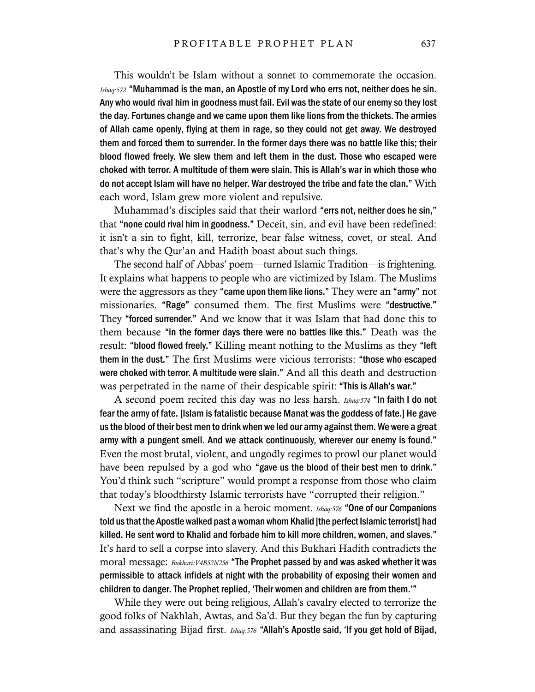This wouldn't be Islam without a sonnet to commemorate the occasion. *Ishaq:572* "Muhammad is the man, an Apostle of my Lord who errs not, neither does he sin. Any who would rival him in goodness must fail. Evil was the state of our enemy so they lost the day. Fortunes change and we came upon them like lions from the thickets. The armies of Allah came openly, flying at them in rage, so they could not get away. We destroyed them and forced them to surrender. In the former days there was no battle like this; their blood flowed freely. We slew them and left them in the dust. Those who escaped were choked with terror. A multitude of them were slain. This is Allah's war in which those who do not accept Islam will have no helper. War destroyed the tribe and fate the clan." With each word, Islam grew more violent and repulsive.

Muhammad's disciples said that their warlord "errs not, neither does he sin," that "none could rival him in goodness." Deceit, sin, and evil have been redefined: it isn't a sin to fight, kill, terrorize, bear false witness, covet, or steal. And that's why the Qur'an and Hadith boast about such things.

The second half of Abbas' poem—turned Islamic Tradition—is frightening. It explains what happens to people who are victimized by Islam. The Muslims were the aggressors as they "came upon them like lions." They were an "army" not missionaries. "Rage" consumed them. The first Muslims were "destructive." They "forced surrender." And we know that it was Islam that had done this to them because "in the former days there were no battles like this." Death was the result: "blood flowed freely." Killing meant nothing to the Muslims as they "left them in the dust." The first Muslims were vicious terrorists: "those who escaped were choked with terror. A multitude were slain." And all this death and destruction was perpetrated in the name of their despicable spirit: "This is Allah's war."

A second poem recited this day was no less harsh. *Ishaq:574* "In faith I do not fear the army of fate. [Islam is fatalistic because Manat was the goddess of fate.] He gave us the blood of their best men to drink when we led our army against them. We were a great army with a pungent smell. And we attack continuously, wherever our enemy is found." Even the most brutal, violent, and ungodly regimes to prowl our planet would have been repulsed by a god who "gave us the blood of their best men to drink." You'd think such "scripture" would prompt a response from those who claim that today's bloodthirsty Islamic terrorists have "corrupted their religion."

Next we find the apostle in a heroic moment. *Ishaq:576* "One of our Companions told us that the Apostle walked past a woman whom Khalid [the perfect Islamic terrorist] had killed. He sent word to Khalid and forbade him to kill more children, women, and slaves." It's hard to sell a corpse into slavery. And this Bukhari Hadith contradicts the moral message: *Bukhari:V4B52N256* "The Prophet passed by and was asked whether it was permissible to attack infidels at night with the probability of exposing their women and children to danger. The Prophet replied, 'Their women and children are from them.'"

While they were out being religious, Allah's cavalry elected to terrorize the good folks of Nakhlah, Awtas, and Sa'd. But they began the fun by capturing and assassinating Bijad first. *Ishaq:576* "Allah's Apostle said, 'If you get hold of Bijad,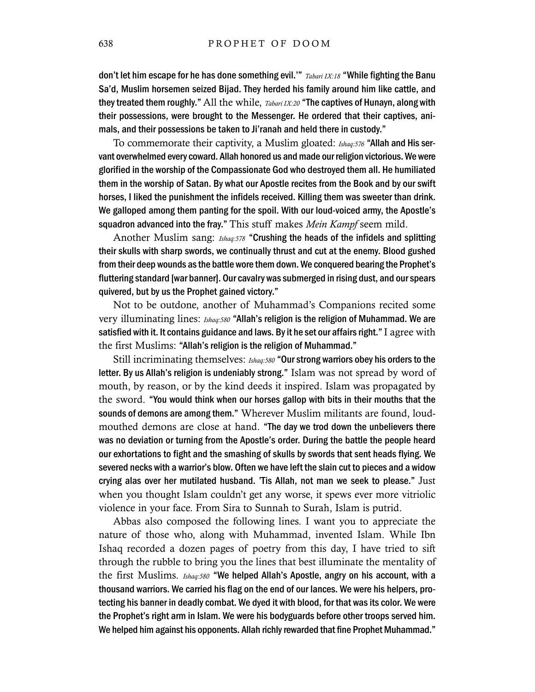don't let him escape for he has done something evil.'" *Tabari IX:18* "While fighting the Banu Sa'd, Muslim horsemen seized Bijad. They herded his family around him like cattle, and they treated them roughly." All the while, *Tabari IX:20* "The captives of Hunayn, along with their possessions, were brought to the Messenger. He ordered that their captives, animals, and their possessions be taken to Ji'ranah and held there in custody."

To commemorate their captivity, a Muslim gloated: *Ishaq:576* "Allah and His servant overwhelmed every coward. Allah honored us and made our religion victorious. We were glorified in the worship of the Compassionate God who destroyed them all. He humiliated them in the worship of Satan. By what our Apostle recites from the Book and by our swift horses, I liked the punishment the infidels received. Killing them was sweeter than drink. We galloped among them panting for the spoil. With our loud-voiced army, the Apostle's squadron advanced into the fray." This stuff makes *Mein Kampf* seem mild.

Another Muslim sang: *Ishaq:578* "Crushing the heads of the infidels and splitting their skulls with sharp swords, we continually thrust and cut at the enemy. Blood gushed from their deep wounds as the battle wore them down. We conquered bearing the Prophet's fluttering standard [war banner]. Our cavalry was submerged in rising dust, and our spears quivered, but by us the Prophet gained victory."

Not to be outdone, another of Muhammad's Companions recited some very illuminating lines: *Ishaq:580* "Allah's religion is the religion of Muhammad. We are satisfied with it. It contains guidance and laws. By it he set our affairs right." I agree with the first Muslims: "Allah's religion is the religion of Muhammad."

Still incriminating themselves: *Ishaq:580* "Our strong warriors obey his orders to the letter. By us Allah's religion is undeniably strong." Islam was not spread by word of mouth, by reason, or by the kind deeds it inspired. Islam was propagated by the sword. "You would think when our horses gallop with bits in their mouths that the sounds of demons are among them." Wherever Muslim militants are found, loudmouthed demons are close at hand. "The day we trod down the unbelievers there was no deviation or turning from the Apostle's order. During the battle the people heard our exhortations to fight and the smashing of skulls by swords that sent heads flying. We severed necks with a warrior's blow. Often we have left the slain cut to pieces and a widow crying alas over her mutilated husband. 'Tis Allah, not man we seek to please." Just when you thought Islam couldn't get any worse, it spews ever more vitriolic violence in your face. From Sira to Sunnah to Surah, Islam is putrid.

Abbas also composed the following lines. I want you to appreciate the nature of those who, along with Muhammad, invented Islam. While Ibn Ishaq recorded a dozen pages of poetry from this day, I have tried to sift through the rubble to bring you the lines that best illuminate the mentality of the first Muslims. *Ishaq:580* "We helped Allah's Apostle, angry on his account, with a thousand warriors. We carried his flag on the end of our lances. We were his helpers, protecting his banner in deadly combat. We dyed it with blood, for that was its color. We were the Prophet's right arm in Islam. We were his bodyguards before other troops served him. We helped him against his opponents. Allah richly rewarded that fine Prophet Muhammad."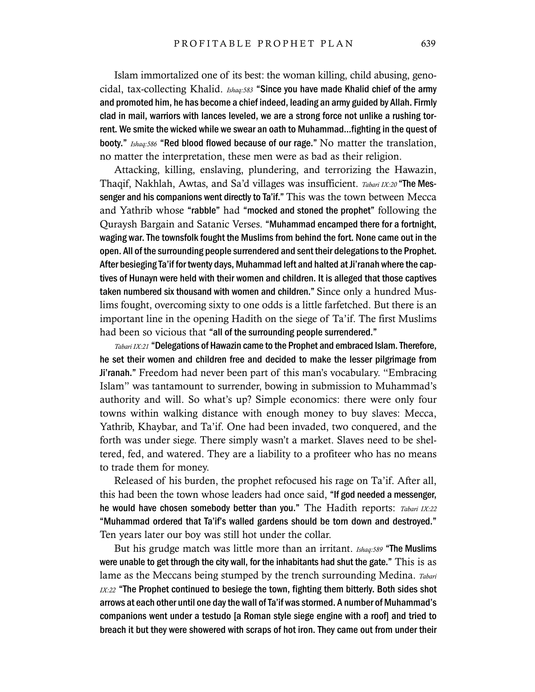Islam immortalized one of its best: the woman killing, child abusing, genocidal, tax-collecting Khalid. *Ishaq:583* "Since you have made Khalid chief of the army and promoted him, he has become a chief indeed, leading an army guided by Allah. Firmly clad in mail, warriors with lances leveled, we are a strong force not unlike a rushing torrent. We smite the wicked while we swear an oath to Muhammad…fighting in the quest of booty." *Ishaq:586* "Red blood flowed because of our rage." No matter the translation, no matter the interpretation, these men were as bad as their religion.

Attacking, killing, enslaving, plundering, and terrorizing the Hawazin, Thaqif, Nakhlah, Awtas, and Sa'd villages was insufficient. *Tabari IX:20* "The Messenger and his companions went directly to Ta'if." This was the town between Mecca and Yathrib whose "rabble" had "mocked and stoned the prophet" following the Quraysh Bargain and Satanic Verses. "Muhammad encamped there for a fortnight, waging war. The townsfolk fought the Muslims from behind the fort. None came out in the open. All of the surrounding people surrendered and sent their delegations to the Prophet. After besieging Ta'if for twenty days, Muhammad left and halted at Ji'ranah where the captives of Hunayn were held with their women and children. It is alleged that those captives taken numbered six thousand with women and children." Since only a hundred Muslims fought, overcoming sixty to one odds is a little farfetched. But there is an important line in the opening Hadith on the siege of Ta'if. The first Muslims had been so vicious that "all of the surrounding people surrendered."

*Tabari IX:21* "Delegations of Hawazin came to the Prophet and embraced Islam. Therefore, he set their women and children free and decided to make the lesser pilgrimage from Ji'ranah." Freedom had never been part of this man's vocabulary. "Embracing Islam" was tantamount to surrender, bowing in submission to Muhammad's authority and will. So what's up? Simple economics: there were only four towns within walking distance with enough money to buy slaves: Mecca, Yathrib, Khaybar, and Ta'if. One had been invaded, two conquered, and the forth was under siege. There simply wasn't a market. Slaves need to be sheltered, fed, and watered. They are a liability to a profiteer who has no means to trade them for money.

Released of his burden, the prophet refocused his rage on Ta'if. After all, this had been the town whose leaders had once said, "If god needed a messenger, he would have chosen somebody better than you." The Hadith reports: *Tabari IX:22* "Muhammad ordered that Ta'if's walled gardens should be torn down and destroyed." Ten years later our boy was still hot under the collar.

But his grudge match was little more than an irritant. *Ishaq:589* "The Muslims were unable to get through the city wall, for the inhabitants had shut the gate." This is as lame as the Meccans being stumped by the trench surrounding Medina. *Tabari IX:22* "The Prophet continued to besiege the town, fighting them bitterly. Both sides shot arrows at each other until one day the wall of Ta'if was stormed. A number of Muhammad's companions went under a testudo [a Roman style siege engine with a roof] and tried to breach it but they were showered with scraps of hot iron. They came out from under their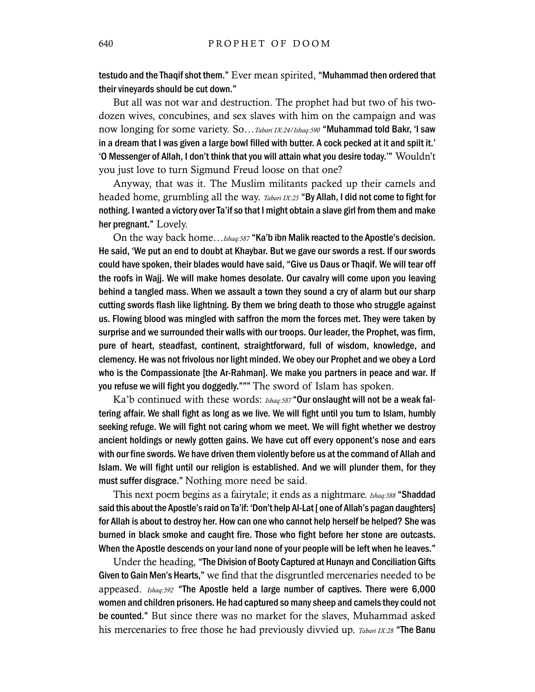testudo and the Thaqif shot them." Ever mean spirited, "Muhammad then ordered that their vineyards should be cut down."

But all was not war and destruction. The prophet had but two of his twodozen wives, concubines, and sex slaves with him on the campaign and was now longing for some variety. So…*Tabari IX:24/Ishaq:590* "Muhammad told Bakr, 'I saw in a dream that I was given a large bowl filled with butter. A cock pecked at it and spilt it.' 'O Messenger of Allah, I don't think that you will attain what you desire today.'" Wouldn't you just love to turn Sigmund Freud loose on that one?

Anyway, that was it. The Muslim militants packed up their camels and headed home, grumbling all the way. *Tabari IX:25* "By Allah, I did not come to fight for nothing. I wanted a victory over Ta'if so that I might obtain a slave girl from them and make her pregnant." Lovely.

On the way back home…*Ishaq:587* "Ka'b ibn Malik reacted to the Apostle's decision. He said, 'We put an end to doubt at Khaybar. But we gave our swords a rest. If our swords could have spoken, their blades would have said, "Give us Daus or Thaqif. We will tear off the roofs in Wajj. We will make homes desolate. Our cavalry will come upon you leaving behind a tangled mass. When we assault a town they sound a cry of alarm but our sharp cutting swords flash like lightning. By them we bring death to those who struggle against us. Flowing blood was mingled with saffron the morn the forces met. They were taken by surprise and we surrounded their walls with our troops. Our leader, the Prophet, was firm, pure of heart, steadfast, continent, straightforward, full of wisdom, knowledge, and clemency. He was not frivolous nor light minded. We obey our Prophet and we obey a Lord who is the Compassionate [the Ar-Rahman]. We make you partners in peace and war. If you refuse we will fight you doggedly.""" The sword of Islam has spoken.

Ka'b continued with these words: *Ishaq:587* "Our onslaught will not be a weak faltering affair. We shall fight as long as we live. We will fight until you turn to Islam, humbly seeking refuge. We will fight not caring whom we meet. We will fight whether we destroy ancient holdings or newly gotten gains. We have cut off every opponent's nose and ears with our fine swords. We have driven them violently before us at the command of Allah and Islam. We will fight until our religion is established. And we will plunder them, for they must suffer disgrace." Nothing more need be said.

This next poem begins as a fairytale; it ends as a nightmare. *Ishaq:588* "Shaddad said this about the Apostle's raid on Ta'if: 'Don't help Al-Lat [ one of Allah's pagan daughters] for Allah is about to destroy her. How can one who cannot help herself be helped? She was burned in black smoke and caught fire. Those who fight before her stone are outcasts. When the Apostle descends on your land none of your people will be left when he leaves."

Under the heading, "The Division of Booty Captured at Hunayn and Conciliation Gifts Given to Gain Men's Hearts," we find that the disgruntled mercenaries needed to be appeased. *Ishaq:592* "The Apostle held a large number of captives. There were 6,000 women and children prisoners. He had captured so many sheep and camels they could not be counted." But since there was no market for the slaves, Muhammad asked his mercenaries to free those he had previously divvied up. *Tabari IX:28* "The Banu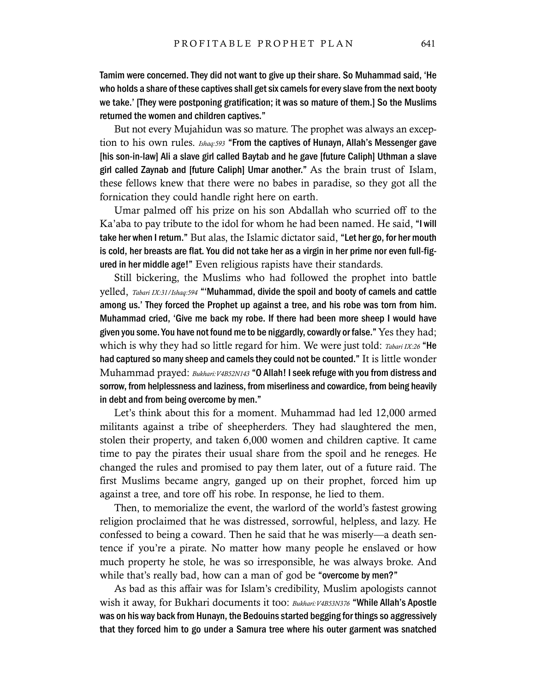Tamim were concerned. They did not want to give up their share. So Muhammad said, 'He who holds a share of these captives shall get six camels for every slave from the next booty we take.' [They were postponing gratification; it was so mature of them.] So the Muslims returned the women and children captives."

But not every Mujahidun was so mature. The prophet was always an exception to his own rules. *Ishaq:593* "From the captives of Hunayn, Allah's Messenger gave [his son-in-law] Ali a slave girl called Baytab and he gave [future Caliph] Uthman a slave girl called Zaynab and [future Caliph] Umar another." As the brain trust of Islam, these fellows knew that there were no babes in paradise, so they got all the fornication they could handle right here on earth.

Umar palmed off his prize on his son Abdallah who scurried off to the Ka'aba to pay tribute to the idol for whom he had been named. He said, "I will take her when I return." But alas, the Islamic dictator said, "Let her go, for her mouth is cold, her breasts are flat. You did not take her as a virgin in her prime nor even full-figured in her middle age!" Even religious rapists have their standards.

Still bickering, the Muslims who had followed the prophet into battle yelled, *Tabari IX:31/Ishaq:594* "'Muhammad, divide the spoil and booty of camels and cattle among us.' They forced the Prophet up against a tree, and his robe was torn from him. Muhammad cried, 'Give me back my robe. If there had been more sheep I would have given you some. You have not found me to be niggardly, cowardly or false." Yes they had; which is why they had so little regard for him. We were just told: *Tabari IX:26* "He had captured so many sheep and camels they could not be counted." It is little wonder Muhammad prayed: *Bukhari:V4B52N143* "O Allah! I seek refuge with you from distress and sorrow, from helplessness and laziness, from miserliness and cowardice, from being heavily in debt and from being overcome by men."

Let's think about this for a moment. Muhammad had led 12,000 armed militants against a tribe of sheepherders. They had slaughtered the men, stolen their property, and taken 6,000 women and children captive. It came time to pay the pirates their usual share from the spoil and he reneges. He changed the rules and promised to pay them later, out of a future raid. The first Muslims became angry, ganged up on their prophet, forced him up against a tree, and tore off his robe. In response, he lied to them.

Then, to memorialize the event, the warlord of the world's fastest growing religion proclaimed that he was distressed, sorrowful, helpless, and lazy. He confessed to being a coward. Then he said that he was miserly—a death sentence if you're a pirate. No matter how many people he enslaved or how much property he stole, he was so irresponsible, he was always broke. And while that's really bad, how can a man of god be "overcome by men?"

As bad as this affair was for Islam's credibility, Muslim apologists cannot wish it away, for Bukhari documents it too: *Bukhari:V4B53N376* "While Allah's Apostle was on his way back from Hunayn, the Bedouins started begging for things so aggressively that they forced him to go under a Samura tree where his outer garment was snatched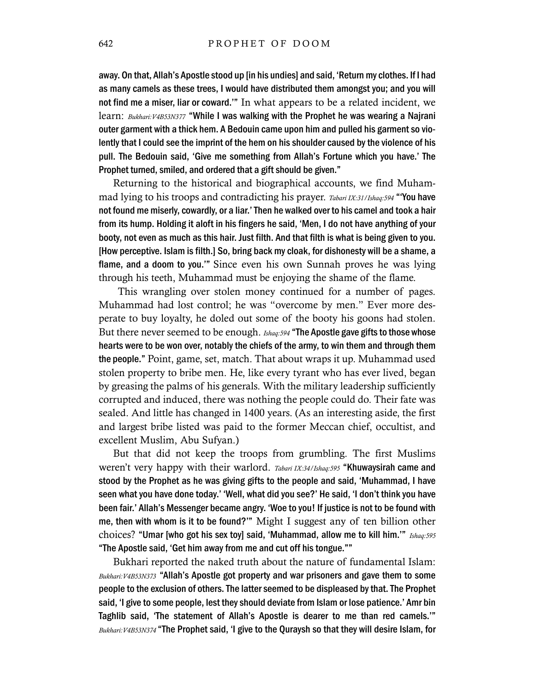away. On that, Allah's Apostle stood up [in his undies] and said, 'Return my clothes. If I had as many camels as these trees, I would have distributed them amongst you; and you will not find me a miser, liar or coward.'" In what appears to be a related incident, we learn: *Bukhari:V4B53N377* "While I was walking with the Prophet he was wearing a Najrani outer garment with a thick hem. A Bedouin came upon him and pulled his garment so violently that I could see the imprint of the hem on his shoulder caused by the violence of his pull. The Bedouin said, 'Give me something from Allah's Fortune which you have.' The Prophet turned, smiled, and ordered that a gift should be given."

Returning to the historical and biographical accounts, we find Muhammad lying to his troops and contradicting his prayer. *Tabari IX:31/Ishaq:594* "'You have not found me miserly, cowardly, or a liar.' Then he walked over to his camel and took a hair from its hump. Holding it aloft in his fingers he said, 'Men, I do not have anything of your booty, not even as much as this hair. Just filth. And that filth is what is being given to you. [How perceptive. Islam is filth.] So, bring back my cloak, for dishonesty will be a shame, a flame, and a doom to you.'" Since even his own Sunnah proves he was lying through his teeth, Muhammad must be enjoying the shame of the flame.

This wrangling over stolen money continued for a number of pages. Muhammad had lost control; he was "overcome by men." Ever more desperate to buy loyalty, he doled out some of the booty his goons had stolen. But there never seemed to be enough. *Ishaq:594* "The Apostle gave gifts to those whose hearts were to be won over, notably the chiefs of the army, to win them and through them the people." Point, game, set, match. That about wraps it up. Muhammad used stolen property to bribe men. He, like every tyrant who has ever lived, began by greasing the palms of his generals. With the military leadership sufficiently corrupted and induced, there was nothing the people could do. Their fate was sealed. And little has changed in 1400 years. (As an interesting aside, the first and largest bribe listed was paid to the former Meccan chief, occultist, and excellent Muslim, Abu Sufyan.)

But that did not keep the troops from grumbling. The first Muslims weren't very happy with their warlord. *Tabari IX:34/Ishaq:595* "Khuwaysirah came and stood by the Prophet as he was giving gifts to the people and said, 'Muhammad, I have seen what you have done today.' 'Well, what did you see?' He said, 'I don't think you have been fair.' Allah's Messenger became angry. 'Woe to you! If justice is not to be found with me, then with whom is it to be found?'" Might I suggest any of ten billion other choices? "Umar [who got his sex toy] said, 'Muhammad, allow me to kill him.'" *Ishaq:595* "The Apostle said, 'Get him away from me and cut off his tongue.""

Bukhari reported the naked truth about the nature of fundamental Islam: *Bukhari:V4B53N373* "Allah's Apostle got property and war prisoners and gave them to some people to the exclusion of others. The latter seemed to be displeased by that. The Prophet said, 'I give to some people, lest they should deviate from Islam or lose patience.' Amr bin Taghlib said, 'The statement of Allah's Apostle is dearer to me than red camels.'" *Bukhari:V4B53N374* "The Prophet said, 'I give to the Quraysh so that they will desire Islam, for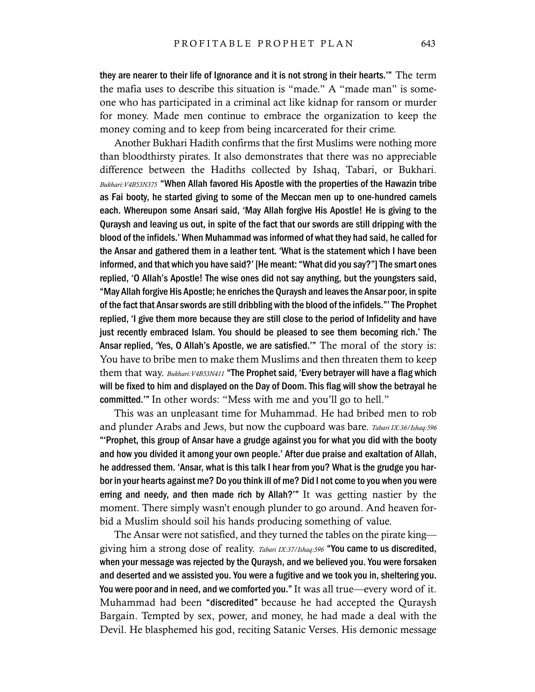they are nearer to their life of Ignorance and it is not strong in their hearts.'" The term the mafia uses to describe this situation is "made." A "made man" is someone who has participated in a criminal act like kidnap for ransom or murder for money. Made men continue to embrace the organization to keep the money coming and to keep from being incarcerated for their crime.

Another Bukhari Hadith confirms that the first Muslims were nothing more than bloodthirsty pirates. It also demonstrates that there was no appreciable difference between the Hadiths collected by Ishaq, Tabari, or Bukhari. *Bukhari:V4B53N375* "When Allah favored His Apostle with the properties of the Hawazin tribe as Fai booty, he started giving to some of the Meccan men up to one-hundred camels each. Whereupon some Ansari said, 'May Allah forgive His Apostle! He is giving to the Quraysh and leaving us out, in spite of the fact that our swords are still dripping with the blood of the infidels.' When Muhammad was informed of what they had said, he called for the Ansar and gathered them in a leather tent. 'What is the statement which I have been informed, and that which you have said?' [He meant: "What did you say?"] The smart ones replied, 'O Allah's Apostle! The wise ones did not say anything, but the youngsters said, "May Allah forgive His Apostle; he enriches the Quraysh and leaves the Ansar poor, in spite of the fact that Ansar swords are still dribbling with the blood of the infidels."' The Prophet replied, 'I give them more because they are still close to the period of Infidelity and have just recently embraced Islam. You should be pleased to see them becoming rich.' The Ansar replied, 'Yes, O Allah's Apostle, we are satisfied.'" The moral of the story is: You have to bribe men to make them Muslims and then threaten them to keep them that way. *Bukhari:V4B53N411* "The Prophet said, 'Every betrayer will have a flag which will be fixed to him and displayed on the Day of Doom. This flag will show the betrayal he committed.'" In other words: "Mess with me and you'll go to hell."

This was an unpleasant time for Muhammad. He had bribed men to rob and plunder Arabs and Jews, but now the cupboard was bare. *Tabari IX:36/Ishaq:596* "'Prophet, this group of Ansar have a grudge against you for what you did with the booty and how you divided it among your own people.' After due praise and exaltation of Allah, he addressed them. 'Ansar, what is this talk I hear from you? What is the grudge you harbor in your hearts against me? Do you think ill of me? Did I not come to you when you were erring and needy, and then made rich by Allah?'" It was getting nastier by the moment. There simply wasn't enough plunder to go around. And heaven forbid a Muslim should soil his hands producing something of value.

The Ansar were not satisfied, and they turned the tables on the pirate king giving him a strong dose of reality. *Tabari IX:37/Ishaq:596* "You came to us discredited, when your message was rejected by the Quraysh, and we believed you. You were forsaken and deserted and we assisted you. You were a fugitive and we took you in, sheltering you. You were poor and in need, and we comforted you." It was all true—every word of it. Muhammad had been "discredited" because he had accepted the Quraysh Bargain. Tempted by sex, power, and money, he had made a deal with the Devil. He blasphemed his god, reciting Satanic Verses. His demonic message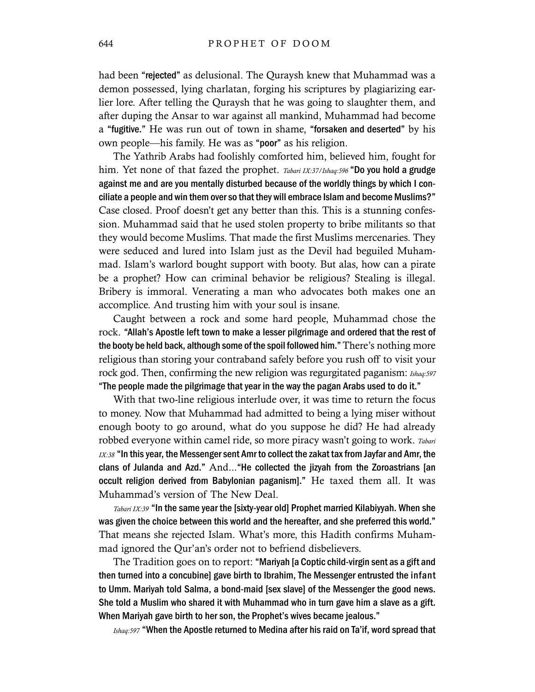had been "rejected" as delusional. The Quraysh knew that Muhammad was a demon possessed, lying charlatan, forging his scriptures by plagiarizing earlier lore. After telling the Quraysh that he was going to slaughter them, and after duping the Ansar to war against all mankind, Muhammad had become a "fugitive." He was run out of town in shame, "forsaken and deserted" by his own people—his family. He was as "poor" as his religion.

The Yathrib Arabs had foolishly comforted him, believed him, fought for him. Yet none of that fazed the prophet. *Tabari IX:37/Ishaq:596* "Do you hold a grudge against me and are you mentally disturbed because of the worldly things by which I conciliate a people and win them over so that they will embrace Islam and become Muslims?" Case closed. Proof doesn't get any better than this. This is a stunning confession. Muhammad said that he used stolen property to bribe militants so that they would become Muslims. That made the first Muslims mercenaries. They were seduced and lured into Islam just as the Devil had beguiled Muhammad. Islam's warlord bought support with booty. But alas, how can a pirate be a prophet? How can criminal behavior be religious? Stealing is illegal. Bribery is immoral. Venerating a man who advocates both makes one an accomplice. And trusting him with your soul is insane.

Caught between a rock and some hard people, Muhammad chose the rock. "Allah's Apostle left town to make a lesser pilgrimage and ordered that the rest of the booty be held back, although some of the spoil followed him." There's nothing more religious than storing your contraband safely before you rush off to visit your rock god. Then, confirming the new religion was regurgitated paganism: *Ishaq:597* "The people made the pilgrimage that year in the way the pagan Arabs used to do it."

With that two-line religious interlude over, it was time to return the focus to money. Now that Muhammad had admitted to being a lying miser without enough booty to go around, what do you suppose he did? He had already robbed everyone within camel ride, so more piracy wasn't going to work. *Tabari IX:38* "In this year, the Messenger sent Amr to collect the zakat tax from Jayfar and Amr, the clans of Julanda and Azd." And..."He collected the jizyah from the Zoroastrians [an occult religion derived from Babylonian paganism]." He taxed them all. It was Muhammad's version of The New Deal.

*Tabari IX:39* "In the same year the [sixty-year old] Prophet married Kilabiyyah. When she was given the choice between this world and the hereafter, and she preferred this world." That means she rejected Islam. What's more, this Hadith confirms Muhammad ignored the Qur'an's order not to befriend disbelievers.

The Tradition goes on to report: "Mariyah [a Coptic child-virgin sent as a gift and then turned into a concubine] gave birth to Ibrahim, The Messenger entrusted the infant to Umm. Mariyah told Salma, a bond-maid [sex slave] of the Messenger the good news. She told a Muslim who shared it with Muhammad who in turn gave him a slave as a gift. When Mariyah gave birth to her son, the Prophet's wives became jealous."

*Ishaq:597* "When the Apostle returned to Medina after his raid on Ta'if, word spread that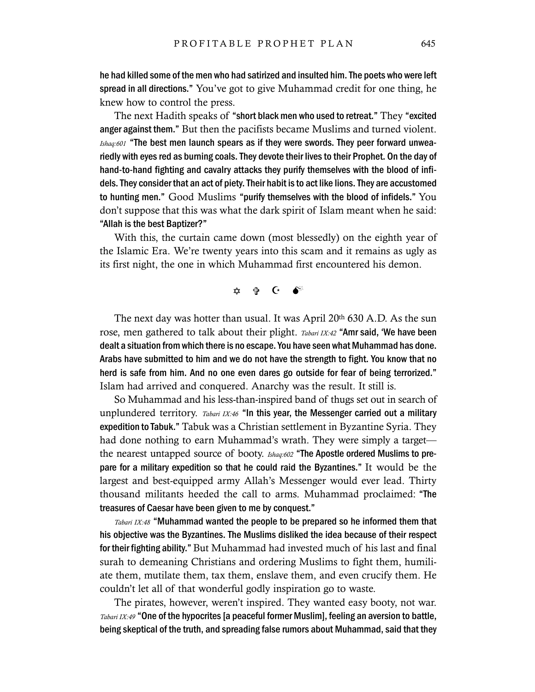he had killed some of the men who had satirized and insulted him. The poets who were left spread in all directions." You've got to give Muhammad credit for one thing, he knew how to control the press.

The next Hadith speaks of "short black men who used to retreat." They "excited anger against them." But then the pacifists became Muslims and turned violent. *Ishaq:601* "The best men launch spears as if they were swords. They peer forward unweariedly with eyes red as burning coals. They devote their lives to their Prophet. On the day of hand-to-hand fighting and cavalry attacks they purify themselves with the blood of infidels. They consider that an act of piety. Their habit is to act like lions. They are accustomed to hunting men." Good Muslims "purify themselves with the blood of infidels." You don't suppose that this was what the dark spirit of Islam meant when he said: "Allah is the best Baptizer?"

With this, the curtain came down (most blessedly) on the eighth year of the Islamic Era. We're twenty years into this scam and it remains as ugly as its first night, the one in which Muhammad first encountered his demon.

**☆ ☆ ☆ ◆ ☆** 

The next day was hotter than usual. It was April 20<sup>th</sup> 630 A.D. As the sun rose, men gathered to talk about their plight. *Tabari IX:42* "Amr said, 'We have been dealt a situation from which there is no escape. You have seen what Muhammad has done. Arabs have submitted to him and we do not have the strength to fight. You know that no herd is safe from him. And no one even dares go outside for fear of being terrorized." Islam had arrived and conquered. Anarchy was the result. It still is.

So Muhammad and his less-than-inspired band of thugs set out in search of unplundered territory. *Tabari IX:46* "In this year, the Messenger carried out a military expedition to Tabuk." Tabuk was a Christian settlement in Byzantine Syria. They had done nothing to earn Muhammad's wrath. They were simply a target the nearest untapped source of booty. *Ishaq:602* "The Apostle ordered Muslims to prepare for a military expedition so that he could raid the Byzantines." It would be the largest and best-equipped army Allah's Messenger would ever lead. Thirty thousand militants heeded the call to arms. Muhammad proclaimed: "The treasures of Caesar have been given to me by conquest."

*Tabari IX:48* "Muhammad wanted the people to be prepared so he informed them that his objective was the Byzantines. The Muslims disliked the idea because of their respect for their fighting ability." But Muhammad had invested much of his last and final surah to demeaning Christians and ordering Muslims to fight them, humiliate them, mutilate them, tax them, enslave them, and even crucify them. He couldn't let all of that wonderful godly inspiration go to waste.

The pirates, however, weren't inspired. They wanted easy booty, not war. *Tabari IX:49* "One of the hypocrites [a peaceful former Muslim], feeling an aversion to battle, being skeptical of the truth, and spreading false rumors about Muhammad, said that they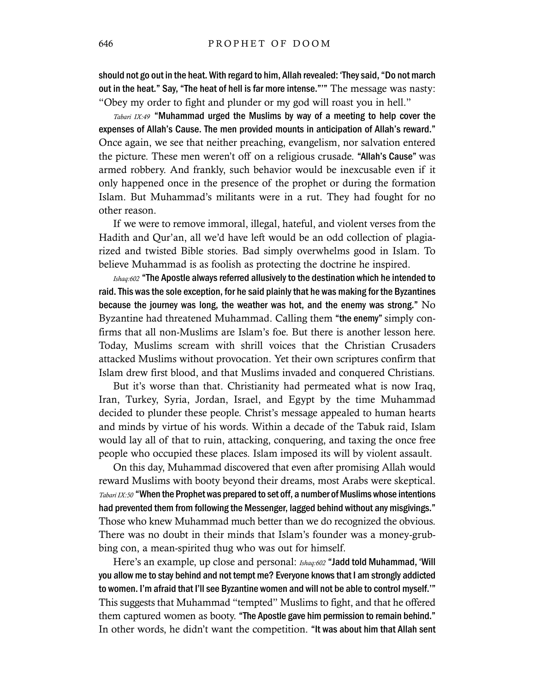should not go out in the heat. With regard to him, Allah revealed: 'They said, "Do not march out in the heat." Say, "The heat of hell is far more intense."'" The message was nasty: "Obey my order to fight and plunder or my god will roast you in hell."

*Tabari IX:49* "Muhammad urged the Muslims by way of a meeting to help cover the expenses of Allah's Cause. The men provided mounts in anticipation of Allah's reward." Once again, we see that neither preaching, evangelism, nor salvation entered the picture. These men weren't off on a religious crusade. "Allah's Cause" was armed robbery. And frankly, such behavior would be inexcusable even if it only happened once in the presence of the prophet or during the formation Islam. But Muhammad's militants were in a rut. They had fought for no other reason.

If we were to remove immoral, illegal, hateful, and violent verses from the Hadith and Qur'an, all we'd have left would be an odd collection of plagiarized and twisted Bible stories. Bad simply overwhelms good in Islam. To believe Muhammad is as foolish as protecting the doctrine he inspired.

*Ishaq:602* "The Apostle always referred allusively to the destination which he intended to raid. This was the sole exception, for he said plainly that he was making for the Byzantines because the journey was long, the weather was hot, and the enemy was strong." No Byzantine had threatened Muhammad. Calling them "the enemy" simply confirms that all non-Muslims are Islam's foe. But there is another lesson here. Today, Muslims scream with shrill voices that the Christian Crusaders attacked Muslims without provocation. Yet their own scriptures confirm that Islam drew first blood, and that Muslims invaded and conquered Christians.

But it's worse than that. Christianity had permeated what is now Iraq, Iran, Turkey, Syria, Jordan, Israel, and Egypt by the time Muhammad decided to plunder these people. Christ's message appealed to human hearts and minds by virtue of his words. Within a decade of the Tabuk raid, Islam would lay all of that to ruin, attacking, conquering, and taxing the once free people who occupied these places. Islam imposed its will by violent assault.

On this day, Muhammad discovered that even after promising Allah would reward Muslims with booty beyond their dreams, most Arabs were skeptical. *Tabari IX:50* "When the Prophet was prepared to set off, a number of Muslims whose intentions had prevented them from following the Messenger, lagged behind without any misgivings." Those who knew Muhammad much better than we do recognized the obvious. There was no doubt in their minds that Islam's founder was a money-grubbing con, a mean-spirited thug who was out for himself.

Here's an example, up close and personal: *Ishaq:602* "Jadd told Muhammad, 'Will you allow me to stay behind and not tempt me? Everyone knows that I am strongly addicted to women. I'm afraid that I'll see Byzantine women and will not be able to control myself.'" This suggests that Muhammad "tempted" Muslims to fight, and that he offered them captured women as booty. "The Apostle gave him permission to remain behind." In other words, he didn't want the competition. "It was about him that Allah sent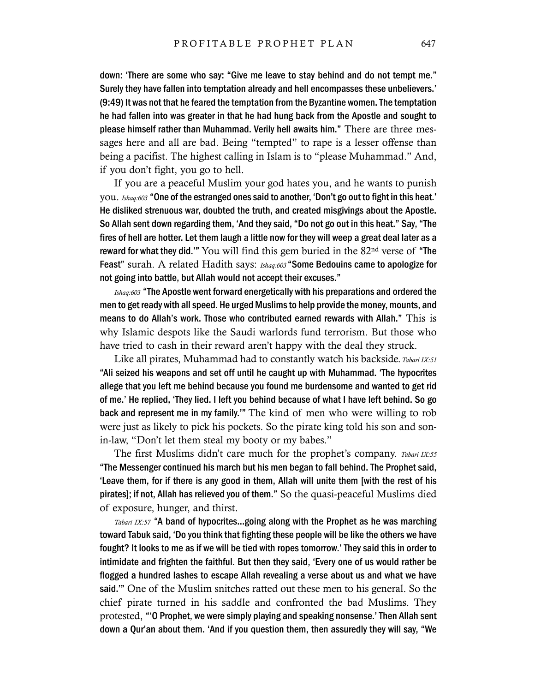down: 'There are some who say: "Give me leave to stay behind and do not tempt me." Surely they have fallen into temptation already and hell encompasses these unbelievers.' (9:49) It was not that he feared the temptation from the Byzantine women. The temptation he had fallen into was greater in that he had hung back from the Apostle and sought to please himself rather than Muhammad. Verily hell awaits him." There are three messages here and all are bad. Being "tempted" to rape is a lesser offense than being a pacifist. The highest calling in Islam is to "please Muhammad." And, if you don't fight, you go to hell.

If you are a peaceful Muslim your god hates you, and he wants to punish you. *Ishaq:603* "One of the estranged ones said to another, 'Don't go out to fight in this heat.' He disliked strenuous war, doubted the truth, and created misgivings about the Apostle. So Allah sent down regarding them, 'And they said, "Do not go out in this heat." Say, "The fires of hell are hotter. Let them laugh a little now for they will weep a great deal later as a reward for what they did." You will find this gem buried in the 82<sup>nd</sup> verse of "The Feast" surah. A related Hadith says: *Ishaq:603* "Some Bedouins came to apologize for not going into battle, but Allah would not accept their excuses."

*Ishaq:603* "The Apostle went forward energetically with his preparations and ordered the men to get ready with all speed. He urged Muslims to help provide the money, mounts, and means to do Allah's work. Those who contributed earned rewards with Allah." This is why Islamic despots like the Saudi warlords fund terrorism. But those who have tried to cash in their reward aren't happy with the deal they struck.

Like all pirates, Muhammad had to constantly watch his backside.*Tabari IX:51* "Ali seized his weapons and set off until he caught up with Muhammad. 'The hypocrites allege that you left me behind because you found me burdensome and wanted to get rid of me.' He replied, 'They lied. I left you behind because of what I have left behind. So go back and represent me in my family.'" The kind of men who were willing to rob were just as likely to pick his pockets. So the pirate king told his son and sonin-law, "Don't let them steal my booty or my babes."

The first Muslims didn't care much for the prophet's company. *Tabari IX:55* "The Messenger continued his march but his men began to fall behind. The Prophet said, 'Leave them, for if there is any good in them, Allah will unite them [with the rest of his pirates]; if not, Allah has relieved you of them." So the quasi-peaceful Muslims died of exposure, hunger, and thirst.

*Tabari IX:57* "A band of hypocrites…going along with the Prophet as he was marching toward Tabuk said, 'Do you think that fighting these people will be like the others we have fought? It looks to me as if we will be tied with ropes tomorrow.' They said this in order to intimidate and frighten the faithful. But then they said, 'Every one of us would rather be flogged a hundred lashes to escape Allah revealing a verse about us and what we have said.'" One of the Muslim snitches ratted out these men to his general. So the chief pirate turned in his saddle and confronted the bad Muslims. They protested, "'O Prophet, we were simply playing and speaking nonsense.' Then Allah sent down a Qur'an about them. 'And if you question them, then assuredly they will say, "We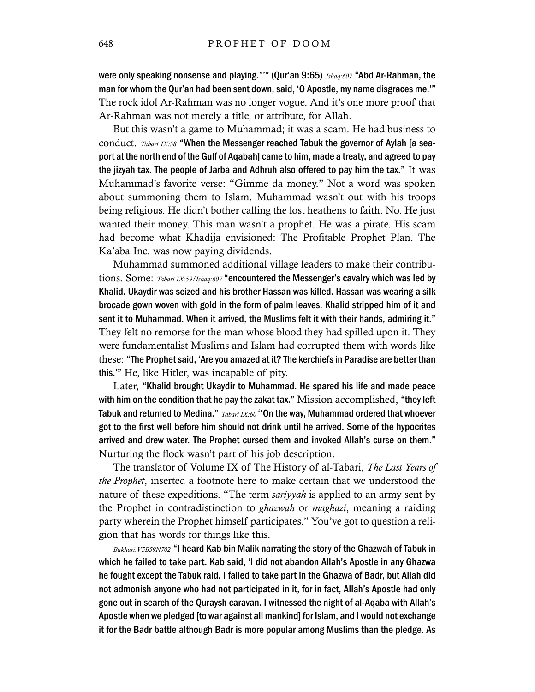were only speaking nonsense and playing."'" (Qur'an 9:65) *Ishaq:607* "Abd Ar-Rahman, the man for whom the Qur'an had been sent down, said, 'O Apostle, my name disgraces me.'" The rock idol Ar-Rahman was no longer vogue. And it's one more proof that Ar-Rahman was not merely a title, or attribute, for Allah.

But this wasn't a game to Muhammad; it was a scam. He had business to conduct. *Tabari IX:58* "When the Messenger reached Tabuk the governor of Aylah [a seaport at the north end of the Gulf of Aqabah] came to him, made a treaty, and agreed to pay the jizyah tax. The people of Jarba and Adhruh also offered to pay him the tax." It was Muhammad's favorite verse: "Gimme da money." Not a word was spoken about summoning them to Islam. Muhammad wasn't out with his troops being religious. He didn't bother calling the lost heathens to faith. No. He just wanted their money. This man wasn't a prophet. He was a pirate. His scam had become what Khadija envisioned: The Profitable Prophet Plan. The Ka'aba Inc. was now paying dividends.

Muhammad summoned additional village leaders to make their contributions. Some: *Tabari IX:59/Ishaq:607* "encountered the Messenger's cavalry which was led by Khalid. Ukaydir was seized and his brother Hassan was killed. Hassan was wearing a silk brocade gown woven with gold in the form of palm leaves. Khalid stripped him of it and sent it to Muhammad. When it arrived, the Muslims felt it with their hands, admiring it." They felt no remorse for the man whose blood they had spilled upon it. They were fundamentalist Muslims and Islam had corrupted them with words like these: "The Prophet said, 'Are you amazed at it? The kerchiefs in Paradise are better than this.'" He, like Hitler, was incapable of pity.

Later, "Khalid brought Ukaydir to Muhammad. He spared his life and made peace with him on the condition that he pay the zakat tax." Mission accomplished, "they left Tabuk and returned to Medina." *Tabari IX:60* "On the way, Muhammad ordered that whoever got to the first well before him should not drink until he arrived. Some of the hypocrites arrived and drew water. The Prophet cursed them and invoked Allah's curse on them." Nurturing the flock wasn't part of his job description.

The translator of Volume IX of The History of al-Tabari, *The Last Years of the Prophet*, inserted a footnote here to make certain that we understood the nature of these expeditions. "The term *sariyyah* is applied to an army sent by the Prophet in contradistinction to *ghazwah* or *maghazi*, meaning a raiding party wherein the Prophet himself participates." You've got to question a religion that has words for things like this.

*Bukhari:V5B59N702* "I heard Kab bin Malik narrating the story of the Ghazwah of Tabuk in which he failed to take part. Kab said, 'I did not abandon Allah's Apostle in any Ghazwa he fought except the Tabuk raid. I failed to take part in the Ghazwa of Badr, but Allah did not admonish anyone who had not participated in it, for in fact, Allah's Apostle had only gone out in search of the Quraysh caravan. I witnessed the night of al-Aqaba with Allah's Apostle when we pledged [to war against all mankind] for Islam, and I would not exchange it for the Badr battle although Badr is more popular among Muslims than the pledge. As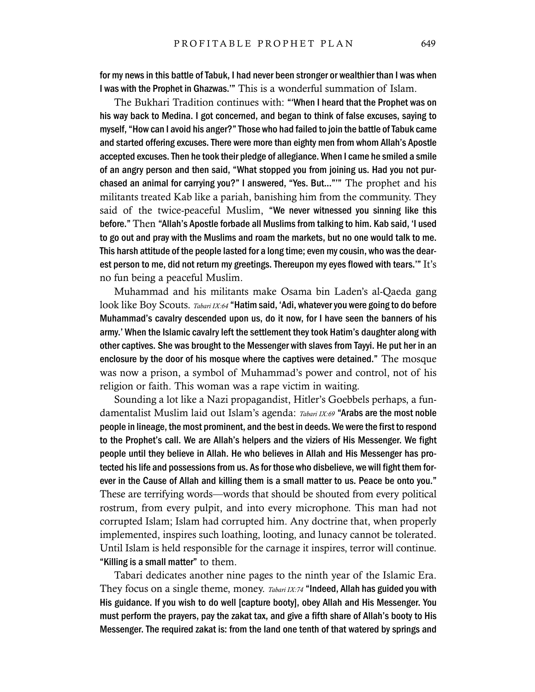for my news in this battle of Tabuk, I had never been stronger or wealthier than I was when I was with the Prophet in Ghazwas.'" This is a wonderful summation of Islam.

The Bukhari Tradition continues with: "'When I heard that the Prophet was on his way back to Medina. I got concerned, and began to think of false excuses, saying to myself, "How can I avoid his anger?" Those who had failed to join the battle of Tabuk came and started offering excuses. There were more than eighty men from whom Allah's Apostle accepted excuses. Then he took their pledge of allegiance. When I came he smiled a smile of an angry person and then said, "What stopped you from joining us. Had you not purchased an animal for carrying you?" I answered, "Yes. But…"'" The prophet and his militants treated Kab like a pariah, banishing him from the community. They said of the twice-peaceful Muslim, "We never witnessed you sinning like this before." Then "Allah's Apostle forbade all Muslims from talking to him. Kab said, 'I used to go out and pray with the Muslims and roam the markets, but no one would talk to me. This harsh attitude of the people lasted for a long time; even my cousin, who was the dearest person to me, did not return my greetings. Thereupon my eyes flowed with tears.'" It's no fun being a peaceful Muslim.

Muhammad and his militants make Osama bin Laden's al-Qaeda gang look like Boy Scouts. *Tabari IX:64* "Hatim said, 'Adi, whatever you were going to do before Muhammad's cavalry descended upon us, do it now, for I have seen the banners of his army.' When the Islamic cavalry left the settlement they took Hatim's daughter along with other captives. She was brought to the Messenger with slaves from Tayyi. He put her in an enclosure by the door of his mosque where the captives were detained." The mosque was now a prison, a symbol of Muhammad's power and control, not of his religion or faith. This woman was a rape victim in waiting.

Sounding a lot like a Nazi propagandist, Hitler's Goebbels perhaps, a fundamentalist Muslim laid out Islam's agenda: *Tabari IX:69* "Arabs are the most noble people in lineage, the most prominent, and the best in deeds. We were the first to respond to the Prophet's call. We are Allah's helpers and the viziers of His Messenger. We fight people until they believe in Allah. He who believes in Allah and His Messenger has protected his life and possessions from us. As for those who disbelieve, we will fight them forever in the Cause of Allah and killing them is a small matter to us. Peace be onto you." These are terrifying words—words that should be shouted from every political rostrum, from every pulpit, and into every microphone. This man had not corrupted Islam; Islam had corrupted him. Any doctrine that, when properly implemented, inspires such loathing, looting, and lunacy cannot be tolerated. Until Islam is held responsible for the carnage it inspires, terror will continue. "Killing is a small matter" to them.

Tabari dedicates another nine pages to the ninth year of the Islamic Era. They focus on a single theme, money. *Tabari IX:74* "Indeed, Allah has guided you with His guidance. If you wish to do well [capture booty], obey Allah and His Messenger. You must perform the prayers, pay the zakat tax, and give a fifth share of Allah's booty to His Messenger. The required zakat is: from the land one tenth of that watered by springs and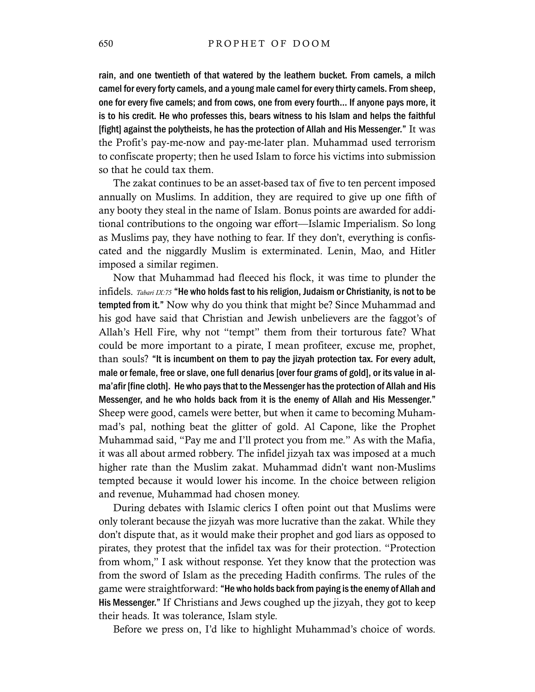rain, and one twentieth of that watered by the leathern bucket. From camels, a milch camel for every forty camels, and a young male camel for every thirty camels. From sheep, one for every five camels; and from cows, one from every fourth… If anyone pays more, it is to his credit. He who professes this, bears witness to his Islam and helps the faithful [fight] against the polytheists, he has the protection of Allah and His Messenger." It was the Profit's pay-me-now and pay-me-later plan. Muhammad used terrorism to confiscate property; then he used Islam to force his victims into submission so that he could tax them.

The zakat continues to be an asset-based tax of five to ten percent imposed annually on Muslims. In addition, they are required to give up one fifth of any booty they steal in the name of Islam. Bonus points are awarded for additional contributions to the ongoing war effort—Islamic Imperialism. So long as Muslims pay, they have nothing to fear. If they don't, everything is confiscated and the niggardly Muslim is exterminated. Lenin, Mao, and Hitler imposed a similar regimen.

Now that Muhammad had fleeced his flock, it was time to plunder the infidels. *Tabari IX:75* "He who holds fast to his religion, Judaism or Christianity, is not to be tempted from it." Now why do you think that might be? Since Muhammad and his god have said that Christian and Jewish unbelievers are the faggot's of Allah's Hell Fire, why not "tempt" them from their torturous fate? What could be more important to a pirate, I mean profiteer, excuse me, prophet, than souls? "It is incumbent on them to pay the jizyah protection tax. For every adult, male or female, free or slave, one full denarius [over four grams of gold], or its value in alma'afir [fine cloth]. He who pays that to the Messenger has the protection of Allah and His Messenger, and he who holds back from it is the enemy of Allah and His Messenger." Sheep were good, camels were better, but when it came to becoming Muhammad's pal, nothing beat the glitter of gold. Al Capone, like the Prophet Muhammad said, "Pay me and I'll protect you from me." As with the Mafia, it was all about armed robbery. The infidel jizyah tax was imposed at a much higher rate than the Muslim zakat. Muhammad didn't want non-Muslims tempted because it would lower his income. In the choice between religion and revenue, Muhammad had chosen money.

During debates with Islamic clerics I often point out that Muslims were only tolerant because the jizyah was more lucrative than the zakat. While they don't dispute that, as it would make their prophet and god liars as opposed to pirates, they protest that the infidel tax was for their protection. "Protection from whom," I ask without response. Yet they know that the protection was from the sword of Islam as the preceding Hadith confirms. The rules of the game were straightforward: "He who holds back from paying is the enemy of Allah and His Messenger." If Christians and Jews coughed up the jizyah, they got to keep their heads. It was tolerance, Islam style.

Before we press on, I'd like to highlight Muhammad's choice of words.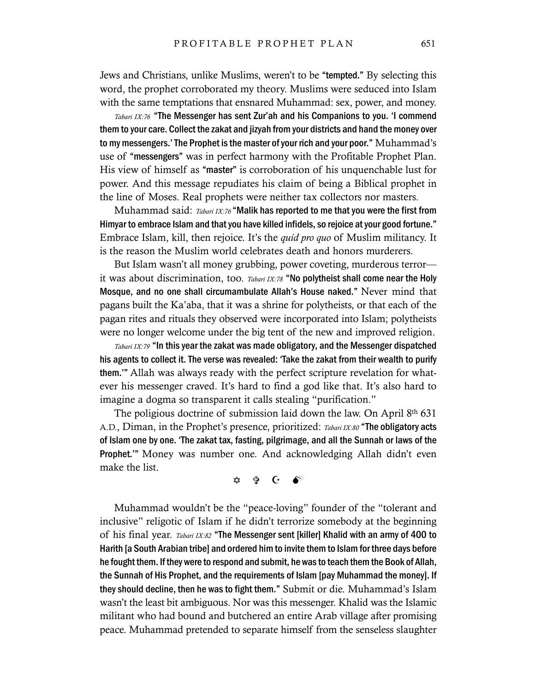Jews and Christians, unlike Muslims, weren't to be "tempted." By selecting this word, the prophet corroborated my theory. Muslims were seduced into Islam with the same temptations that ensnared Muhammad: sex, power, and money.

*Tabari IX:76* "The Messenger has sent Zur'ah and his Companions to you. 'I commend them to your care. Collect the zakat and jizyah from your districts and hand the money over to my messengers.' The Prophet is the master of your rich and your poor." Muhammad's use of "messengers" was in perfect harmony with the Profitable Prophet Plan. His view of himself as "master" is corroboration of his unquenchable lust for power. And this message repudiates his claim of being a Biblical prophet in the line of Moses. Real prophets were neither tax collectors nor masters.

Muhammad said: *Tabari IX:76* "Malik has reported to me that you were the first from Himyar to embrace Islam and that you have killed infidels, so rejoice at your good fortune." Embrace Islam, kill, then rejoice. It's the *quid pro quo* of Muslim militancy. It is the reason the Muslim world celebrates death and honors murderers.

But Islam wasn't all money grubbing, power coveting, murderous terror it was about discrimination, too. *Tabari IX:78* "No polytheist shall come near the Holy Mosque, and no one shall circumambulate Allah's House naked." Never mind that pagans built the Ka'aba, that it was a shrine for polytheists, or that each of the pagan rites and rituals they observed were incorporated into Islam; polytheists were no longer welcome under the big tent of the new and improved religion.

*Tabari IX:79* "In this year the zakat was made obligatory, and the Messenger dispatched his agents to collect it. The verse was revealed: 'Take the zakat from their wealth to purify them.'" Allah was always ready with the perfect scripture revelation for whatever his messenger craved. It's hard to find a god like that. It's also hard to imagine a dogma so transparent it calls stealing "purification."

The poligious doctrine of submission laid down the law. On April 8th 631 A.D., Diman, in the Prophet's presence, prioritized: *Tabari IX:80* "The obligatory acts of Islam one by one. 'The zakat tax, fasting, pilgrimage, and all the Sunnah or laws of the Prophet.'" Money was number one. And acknowledging Allah didn't even make the list.

**☆ 令 (\* 6<sup>\*</sup>** 

Muhammad wouldn't be the "peace-loving" founder of the "tolerant and inclusive" religotic of Islam if he didn't terrorize somebody at the beginning of his final year. *Tabari IX:82* "The Messenger sent [killer] Khalid with an army of 400 to Harith [a South Arabian tribe] and ordered him to invite them to Islam for three days before he fought them. If they were to respond and submit, he was to teach them the Book of Allah, the Sunnah of His Prophet, and the requirements of Islam [pay Muhammad the money]. If they should decline, then he was to fight them." Submit or die. Muhammad's Islam wasn't the least bit ambiguous. Nor was this messenger. Khalid was the Islamic militant who had bound and butchered an entire Arab village after promising peace. Muhammad pretended to separate himself from the senseless slaughter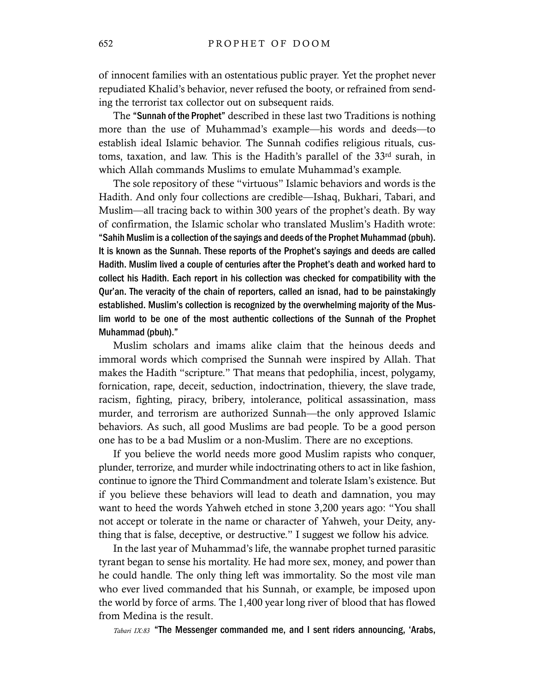of innocent families with an ostentatious public prayer. Yet the prophet never repudiated Khalid's behavior, never refused the booty, or refrained from sending the terrorist tax collector out on subsequent raids.

The "Sunnah of the Prophet" described in these last two Traditions is nothing more than the use of Muhammad's example—his words and deeds—to establish ideal Islamic behavior. The Sunnah codifies religious rituals, customs, taxation, and law. This is the Hadith's parallel of the 33rd surah, in which Allah commands Muslims to emulate Muhammad's example.

The sole repository of these "virtuous" Islamic behaviors and words is the Hadith. And only four collections are credible—Ishaq, Bukhari, Tabari, and Muslim—all tracing back to within 300 years of the prophet's death. By way of confirmation, the Islamic scholar who translated Muslim's Hadith wrote: "Sahih Muslim is a collection of the sayings and deeds of the Prophet Muhammad (pbuh). It is known as the Sunnah. These reports of the Prophet's sayings and deeds are called Hadith. Muslim lived a couple of centuries after the Prophet's death and worked hard to collect his Hadith. Each report in his collection was checked for compatibility with the Qur'an. The veracity of the chain of reporters, called an isnad, had to be painstakingly established. Muslim's collection is recognized by the overwhelming majority of the Muslim world to be one of the most authentic collections of the Sunnah of the Prophet Muhammad (pbuh)."

Muslim scholars and imams alike claim that the heinous deeds and immoral words which comprised the Sunnah were inspired by Allah. That makes the Hadith "scripture." That means that pedophilia, incest, polygamy, fornication, rape, deceit, seduction, indoctrination, thievery, the slave trade, racism, fighting, piracy, bribery, intolerance, political assassination, mass murder, and terrorism are authorized Sunnah—the only approved Islamic behaviors. As such, all good Muslims are bad people. To be a good person one has to be a bad Muslim or a non-Muslim. There are no exceptions.

If you believe the world needs more good Muslim rapists who conquer, plunder, terrorize, and murder while indoctrinating others to act in like fashion, continue to ignore the Third Commandment and tolerate Islam's existence. But if you believe these behaviors will lead to death and damnation, you may want to heed the words Yahweh etched in stone 3,200 years ago: "You shall not accept or tolerate in the name or character of Yahweh, your Deity, anything that is false, deceptive, or destructive." I suggest we follow his advice.

In the last year of Muhammad's life, the wannabe prophet turned parasitic tyrant began to sense his mortality. He had more sex, money, and power than he could handle. The only thing left was immortality. So the most vile man who ever lived commanded that his Sunnah, or example, be imposed upon the world by force of arms. The 1,400 year long river of blood that has flowed from Medina is the result.

*Tabari IX:83* "The Messenger commanded me, and I sent riders announcing, 'Arabs,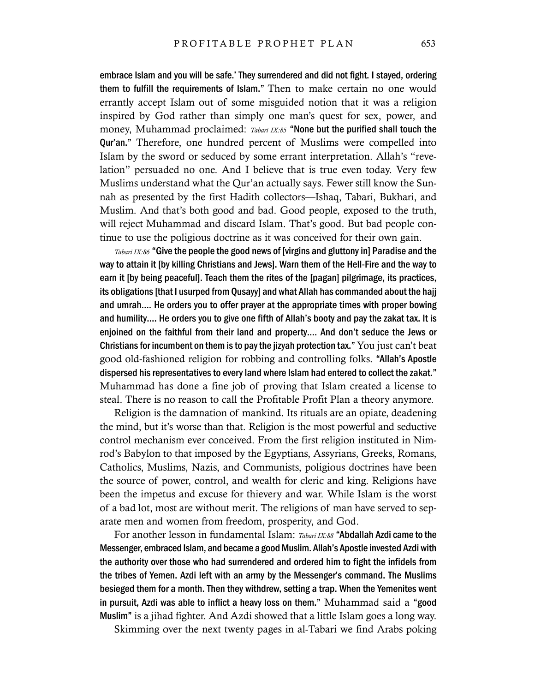embrace Islam and you will be safe.' They surrendered and did not fight. I stayed, ordering them to fulfill the requirements of Islam." Then to make certain no one would errantly accept Islam out of some misguided notion that it was a religion inspired by God rather than simply one man's quest for sex, power, and money, Muhammad proclaimed: *Tabari IX:85* "None but the purified shall touch the Qur'an." Therefore, one hundred percent of Muslims were compelled into Islam by the sword or seduced by some errant interpretation. Allah's "revelation" persuaded no one. And I believe that is true even today. Very few Muslims understand what the Qur'an actually says. Fewer still know the Sunnah as presented by the first Hadith collectors—Ishaq, Tabari, Bukhari, and Muslim. And that's both good and bad. Good people, exposed to the truth, will reject Muhammad and discard Islam. That's good. But bad people continue to use the poligious doctrine as it was conceived for their own gain.

*Tabari IX:86* "Give the people the good news of [virgins and gluttony in] Paradise and the way to attain it [by killing Christians and Jews]. Warn them of the Hell-Fire and the way to earn it [by being peaceful]. Teach them the rites of the [pagan] pilgrimage, its practices, its obligations [that I usurped from Qusayy] and what Allah has commanded about the hajj and umrah…. He orders you to offer prayer at the appropriate times with proper bowing and humility…. He orders you to give one fifth of Allah's booty and pay the zakat tax. It is enjoined on the faithful from their land and property…. And don't seduce the Jews or Christians for incumbent on them is to pay the jizyah protection tax." You just can't beat good old-fashioned religion for robbing and controlling folks. "Allah's Apostle dispersed his representatives to every land where Islam had entered to collect the zakat." Muhammad has done a fine job of proving that Islam created a license to steal. There is no reason to call the Profitable Profit Plan a theory anymore.

Religion is the damnation of mankind. Its rituals are an opiate, deadening the mind, but it's worse than that. Religion is the most powerful and seductive control mechanism ever conceived. From the first religion instituted in Nimrod's Babylon to that imposed by the Egyptians, Assyrians, Greeks, Romans, Catholics, Muslims, Nazis, and Communists, poligious doctrines have been the source of power, control, and wealth for cleric and king. Religions have been the impetus and excuse for thievery and war. While Islam is the worst of a bad lot, most are without merit. The religions of man have served to separate men and women from freedom, prosperity, and God.

For another lesson in fundamental Islam: *Tabari IX:88* "Abdallah Azdi came to the Messenger, embraced Islam, and became a good Muslim. Allah's Apostle invested Azdi with the authority over those who had surrendered and ordered him to fight the infidels from the tribes of Yemen. Azdi left with an army by the Messenger's command. The Muslims besieged them for a month. Then they withdrew, setting a trap. When the Yemenites went in pursuit, Azdi was able to inflict a heavy loss on them." Muhammad said a "good Muslim" is a jihad fighter. And Azdi showed that a little Islam goes a long way.

Skimming over the next twenty pages in al-Tabari we find Arabs poking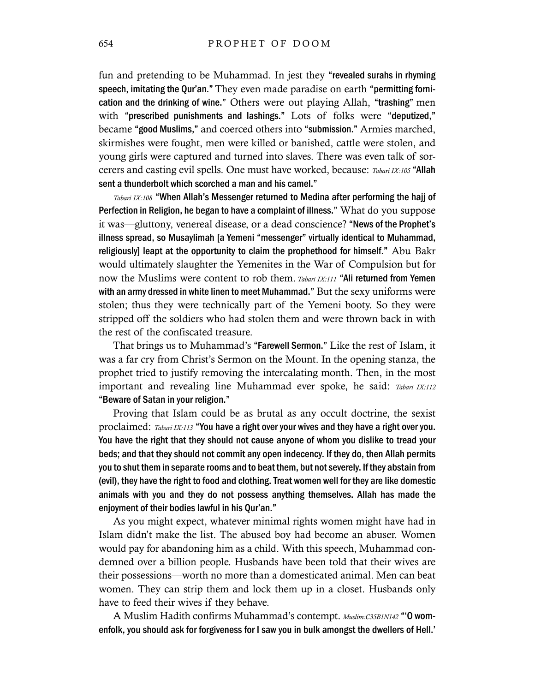fun and pretending to be Muhammad. In jest they "revealed surahs in rhyming speech, imitating the Qur'an." They even made paradise on earth "permitting fornication and the drinking of wine." Others were out playing Allah, "trashing" men with "prescribed punishments and lashings." Lots of folks were "deputized," became "good Muslims," and coerced others into "submission." Armies marched, skirmishes were fought, men were killed or banished, cattle were stolen, and young girls were captured and turned into slaves. There was even talk of sorcerers and casting evil spells. One must have worked, because: *Tabari IX:105* "Allah sent a thunderbolt which scorched a man and his camel."

*Tabari IX:108* "When Allah's Messenger returned to Medina after performing the hajj of Perfection in Religion, he began to have a complaint of illness." What do you suppose it was—gluttony, venereal disease, or a dead conscience? "News of the Prophet's illness spread, so Musaylimah [a Yemeni "messenger" virtually identical to Muhammad, religiously] leapt at the opportunity to claim the prophethood for himself." Abu Bakr would ultimately slaughter the Yemenites in the War of Compulsion but for now the Muslims were content to rob them. *Tabari IX:111* "Ali returned from Yemen with an army dressed in white linen to meet Muhammad." But the sexy uniforms were stolen; thus they were technically part of the Yemeni booty. So they were stripped off the soldiers who had stolen them and were thrown back in with the rest of the confiscated treasure.

That brings us to Muhammad's "Farewell Sermon." Like the rest of Islam, it was a far cry from Christ's Sermon on the Mount. In the opening stanza, the prophet tried to justify removing the intercalating month. Then, in the most important and revealing line Muhammad ever spoke, he said: *Tabari IX:112* "Beware of Satan in your religion."

Proving that Islam could be as brutal as any occult doctrine, the sexist proclaimed: *Tabari IX:113* "You have a right over your wives and they have a right over you. You have the right that they should not cause anyone of whom you dislike to tread your beds; and that they should not commit any open indecency. If they do, then Allah permits you to shut them in separate rooms and to beat them, but not severely. If they abstain from (evil), they have the right to food and clothing. Treat women well for they are like domestic animals with you and they do not possess anything themselves. Allah has made the enjoyment of their bodies lawful in his Qur'an."

As you might expect, whatever minimal rights women might have had in Islam didn't make the list. The abused boy had become an abuser. Women would pay for abandoning him as a child. With this speech, Muhammad condemned over a billion people. Husbands have been told that their wives are their possessions—worth no more than a domesticated animal. Men can beat women. They can strip them and lock them up in a closet. Husbands only have to feed their wives if they behave.

A Muslim Hadith confirms Muhammad's contempt. *Muslim:C35B1N142* "'O womenfolk, you should ask for forgiveness for I saw you in bulk amongst the dwellers of Hell.'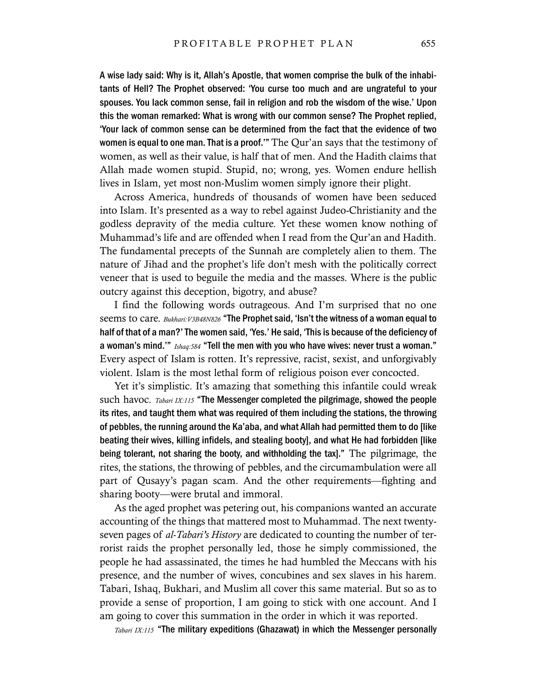A wise lady said: Why is it, Allah's Apostle, that women comprise the bulk of the inhabitants of Hell? The Prophet observed: 'You curse too much and are ungrateful to your spouses. You lack common sense, fail in religion and rob the wisdom of the wise.' Upon this the woman remarked: What is wrong with our common sense? The Prophet replied, 'Your lack of common sense can be determined from the fact that the evidence of two women is equal to one man. That is a proof.'" The Qur'an says that the testimony of women, as well as their value, is half that of men. And the Hadith claims that Allah made women stupid. Stupid, no; wrong, yes. Women endure hellish lives in Islam, yet most non-Muslim women simply ignore their plight.

Across America, hundreds of thousands of women have been seduced into Islam. It's presented as a way to rebel against Judeo-Christianity and the godless depravity of the media culture. Yet these women know nothing of Muhammad's life and are offended when I read from the Qur'an and Hadith. The fundamental precepts of the Sunnah are completely alien to them. The nature of Jihad and the prophet's life don't mesh with the politically correct veneer that is used to beguile the media and the masses. Where is the public outcry against this deception, bigotry, and abuse?

I find the following words outrageous. And I'm surprised that no one seems to care. *Bukhari:V3B48N826* "The Prophet said, 'Isn't the witness of a woman equal to half of that of a man?' The women said, 'Yes.' He said, 'This is because of the deficiency of a woman's mind.'" *Ishaq:584* "Tell the men with you who have wives: never trust a woman." Every aspect of Islam is rotten. It's repressive, racist, sexist, and unforgivably violent. Islam is the most lethal form of religious poison ever concocted.

Yet it's simplistic. It's amazing that something this infantile could wreak such havoc. *Tabari IX:115* "The Messenger completed the pilgrimage, showed the people its rites, and taught them what was required of them including the stations, the throwing of pebbles, the running around the Ka'aba, and what Allah had permitted them to do [like beating their wives, killing infidels, and stealing booty], and what He had forbidden [like being tolerant, not sharing the booty, and withholding the tax]." The pilgrimage, the rites, the stations, the throwing of pebbles, and the circumambulation were all part of Qusayy's pagan scam. And the other requirements—fighting and sharing booty—were brutal and immoral.

As the aged prophet was petering out, his companions wanted an accurate accounting of the things that mattered most to Muhammad. The next twentyseven pages of *al-Tabari's History* are dedicated to counting the number of terrorist raids the prophet personally led, those he simply commissioned, the people he had assassinated, the times he had humbled the Meccans with his presence, and the number of wives, concubines and sex slaves in his harem. Tabari, Ishaq, Bukhari, and Muslim all cover this same material. But so as to provide a sense of proportion, I am going to stick with one account. And I am going to cover this summation in the order in which it was reported.

*Tabari IX:115* "The military expeditions (Ghazawat) in which the Messenger personally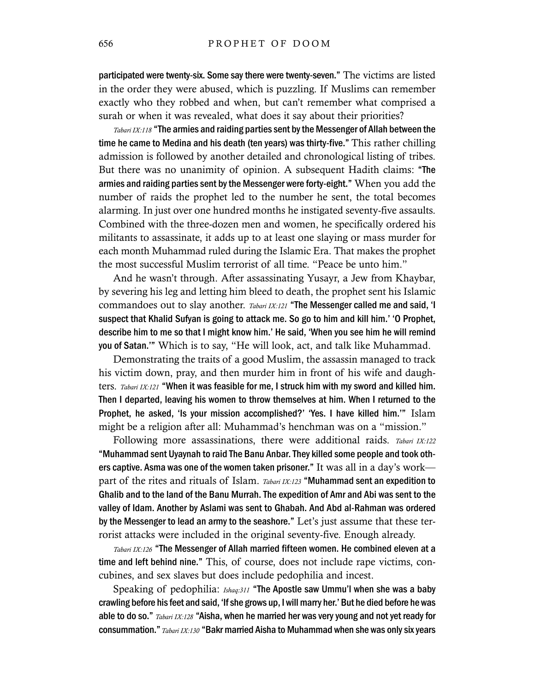participated were twenty-six. Some say there were twenty-seven." The victims are listed in the order they were abused, which is puzzling. If Muslims can remember exactly who they robbed and when, but can't remember what comprised a surah or when it was revealed, what does it say about their priorities?

*Tabari IX:118* "The armies and raiding parties sent by the Messenger of Allah between the time he came to Medina and his death (ten years) was thirty-five." This rather chilling admission is followed by another detailed and chronological listing of tribes. But there was no unanimity of opinion. A subsequent Hadith claims: "The armies and raiding parties sent by the Messenger were forty-eight." When you add the number of raids the prophet led to the number he sent, the total becomes alarming. In just over one hundred months he instigated seventy-five assaults. Combined with the three-dozen men and women, he specifically ordered his militants to assassinate, it adds up to at least one slaying or mass murder for each month Muhammad ruled during the Islamic Era. That makes the prophet the most successful Muslim terrorist of all time. "Peace be unto him."

And he wasn't through. After assassinating Yusayr, a Jew from Khaybar, by severing his leg and letting him bleed to death, the prophet sent his Islamic commandoes out to slay another. *Tabari IX:121* "The Messenger called me and said, 'I suspect that Khalid Sufyan is going to attack me. So go to him and kill him.' 'O Prophet, describe him to me so that I might know him.' He said, 'When you see him he will remind you of Satan.'" Which is to say, "He will look, act, and talk like Muhammad.

Demonstrating the traits of a good Muslim, the assassin managed to track his victim down, pray, and then murder him in front of his wife and daughters. *Tabari IX:121* "When it was feasible for me, I struck him with my sword and killed him. Then I departed, leaving his women to throw themselves at him. When I returned to the Prophet, he asked, 'Is your mission accomplished?' 'Yes. I have killed him.'" Islam might be a religion after all: Muhammad's henchman was on a "mission."

Following more assassinations, there were additional raids. *Tabari IX:122* "Muhammad sent Uyaynah to raid The Banu Anbar. They killed some people and took others captive. Asma was one of the women taken prisoner." It was all in a day's work part of the rites and rituals of Islam. *Tabari IX:123* "Muhammad sent an expedition to Ghalib and to the land of the Banu Murrah. The expedition of Amr and Abi was sent to the valley of Idam. Another by Aslami was sent to Ghabah. And Abd al-Rahman was ordered by the Messenger to lead an army to the seashore." Let's just assume that these terrorist attacks were included in the original seventy-five. Enough already.

*Tabari IX:126* "The Messenger of Allah married fifteen women. He combined eleven at a time and left behind nine." This, of course, does not include rape victims, concubines, and sex slaves but does include pedophilia and incest.

Speaking of pedophilia: *Ishaq:311* "The Apostle saw Ummu'l when she was a baby crawling before his feet and said, 'If she grows up, I will marry her.' But he died before he was able to do so." *Tabari IX:128* "Aisha, when he married her was very young and not yet ready for consummation."*Tabari IX:130* "Bakr married Aisha to Muhammad when she was only six years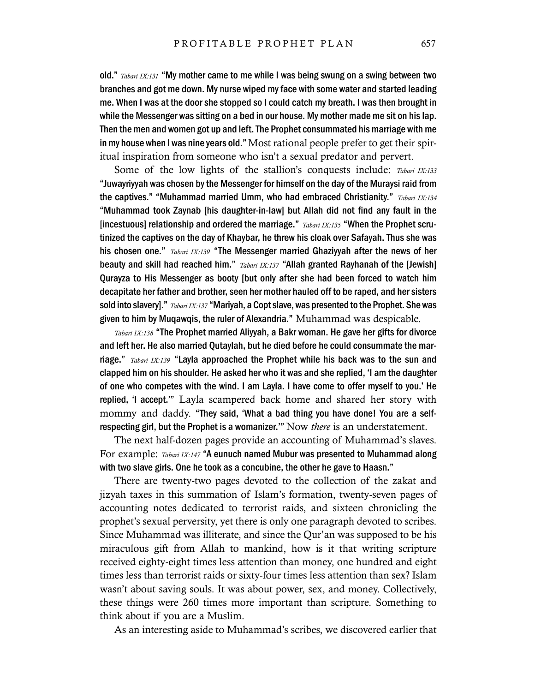old." *Tabari IX:131* "My mother came to me while I was being swung on a swing between two branches and got me down. My nurse wiped my face with some water and started leading me. When I was at the door she stopped so I could catch my breath. I was then brought in while the Messenger was sitting on a bed in our house. My mother made me sit on his lap. Then the men and women got up and left. The Prophet consummated his marriage with me in my house when I was nine years old." Most rational people prefer to get their spiritual inspiration from someone who isn't a sexual predator and pervert.

Some of the low lights of the stallion's conquests include: *Tabari IX:133* "Juwayriyyah was chosen by the Messenger for himself on the day of the Muraysi raid from the captives." "Muhammad married Umm, who had embraced Christianity." *Tabari IX:134* "Muhammad took Zaynab [his daughter-in-law] but Allah did not find any fault in the [incestuous] relationship and ordered the marriage." *Tabari IX:135* "When the Prophet scrutinized the captives on the day of Khaybar, he threw his cloak over Safayah. Thus she was his chosen one." *Tabari IX:139* "The Messenger married Ghaziyyah after the news of her beauty and skill had reached him." *Tabari IX:137* "Allah granted Rayhanah of the [Jewish] Qurayza to His Messenger as booty [but only after she had been forced to watch him decapitate her father and brother, seen her mother hauled off to be raped, and her sisters sold into slavery]." *Tabari IX:137* "Mariyah, a Copt slave, was presented to the Prophet. She was given to him by Muqawqis, the ruler of Alexandria." Muhammad was despicable.

*Tabari IX:138* "The Prophet married Aliyyah, a Bakr woman. He gave her gifts for divorce and left her. He also married Qutaylah, but he died before he could consummate the marriage." *Tabari IX:139* "Layla approached the Prophet while his back was to the sun and clapped him on his shoulder. He asked her who it was and she replied, 'I am the daughter of one who competes with the wind. I am Layla. I have come to offer myself to you.' He replied, 'I accept.'" Layla scampered back home and shared her story with mommy and daddy. "They said, 'What a bad thing you have done! You are a selfrespecting girl, but the Prophet is a womanizer.'" Now *there* is an understatement.

The next half-dozen pages provide an accounting of Muhammad's slaves. For example: *Tabari IX:147* "A eunuch named Mubur was presented to Muhammad along with two slave girls. One he took as a concubine, the other he gave to Haasn."

There are twenty-two pages devoted to the collection of the zakat and jizyah taxes in this summation of Islam's formation, twenty-seven pages of accounting notes dedicated to terrorist raids, and sixteen chronicling the prophet's sexual perversity, yet there is only one paragraph devoted to scribes. Since Muhammad was illiterate, and since the Qur'an was supposed to be his miraculous gift from Allah to mankind, how is it that writing scripture received eighty-eight times less attention than money, one hundred and eight times less than terrorist raids or sixty-four times less attention than sex? Islam wasn't about saving souls. It was about power, sex, and money. Collectively, these things were 260 times more important than scripture. Something to think about if you are a Muslim.

As an interesting aside to Muhammad's scribes, we discovered earlier that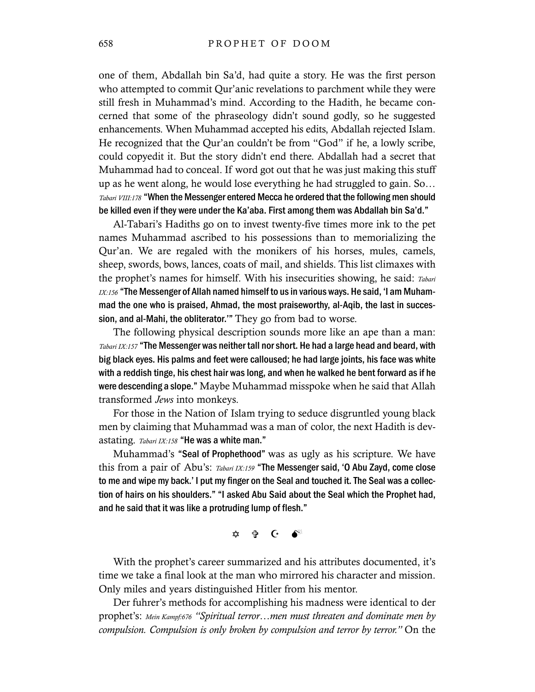one of them, Abdallah bin Sa'd, had quite a story. He was the first person who attempted to commit Qur'anic revelations to parchment while they were still fresh in Muhammad's mind. According to the Hadith, he became concerned that some of the phraseology didn't sound godly, so he suggested enhancements. When Muhammad accepted his edits, Abdallah rejected Islam. He recognized that the Qur'an couldn't be from "God" if he, a lowly scribe, could copyedit it. But the story didn't end there. Abdallah had a secret that Muhammad had to conceal. If word got out that he was just making this stuff up as he went along, he would lose everything he had struggled to gain. So… *Tabari VIII:178* "When the Messenger entered Mecca he ordered that the following men should be killed even if they were under the Ka'aba. First among them was Abdallah bin Sa'd."

Al-Tabari's Hadiths go on to invest twenty-five times more ink to the pet names Muhammad ascribed to his possessions than to memorializing the Qur'an. We are regaled with the monikers of his horses, mules, camels, sheep, swords, bows, lances, coats of mail, and shields. This list climaxes with the prophet's names for himself. With his insecurities showing, he said: *Tabari IX:156* "The Messenger of Allah named himself to us in various ways. He said, 'I am Muhammad the one who is praised, Ahmad, the most praiseworthy, al-Aqib, the last in succession, and al-Mahi, the obliterator.'" They go from bad to worse.

The following physical description sounds more like an ape than a man: *Tabari IX:157* "The Messenger was neither tall nor short. He had a large head and beard, with big black eyes. His palms and feet were calloused; he had large joints, his face was white with a reddish tinge, his chest hair was long, and when he walked he bent forward as if he were descending a slope." Maybe Muhammad misspoke when he said that Allah transformed *Jews* into monkeys.

For those in the Nation of Islam trying to seduce disgruntled young black men by claiming that Muhammad was a man of color, the next Hadith is devastating. *Tabari IX:158* "He was a white man."

Muhammad's "Seal of Prophethood" was as ugly as his scripture. We have this from a pair of Abu's: *Tabari IX:159* "The Messenger said, 'O Abu Zayd, come close to me and wipe my back.' I put my finger on the Seal and touched it. The Seal was a collection of hairs on his shoulders." "I asked Abu Said about the Seal which the Prophet had, and he said that it was like a protruding lump of flesh."

@ = A 0

With the prophet's career summarized and his attributes documented, it's time we take a final look at the man who mirrored his character and mission. Only miles and years distinguished Hitler from his mentor.

Der fuhrer's methods for accomplishing his madness were identical to der prophet's: *Mein Kampf:676 "Spiritual terror…men must threaten and dominate men by compulsion. Compulsion is only broken by compulsion and terror by terror."* On the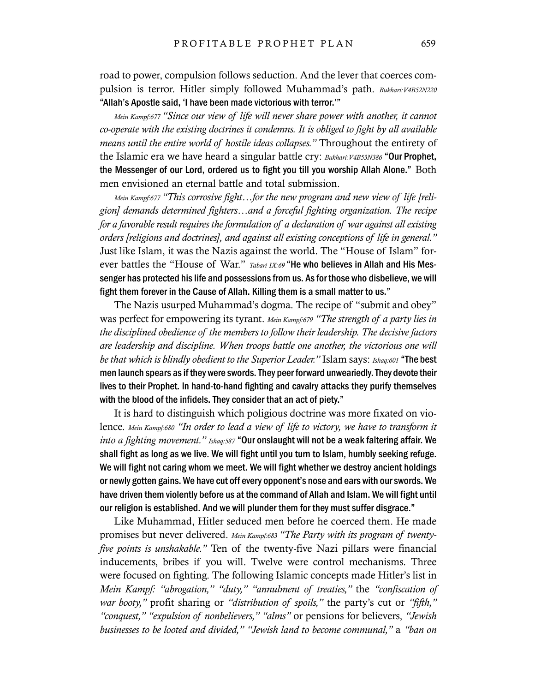road to power, compulsion follows seduction. And the lever that coerces compulsion is terror. Hitler simply followed Muhammad's path. *Bukhari:V4B52N220* "Allah's Apostle said, 'I have been made victorious with terror.'"

*Mein Kampf:677 "Since our view of life will never share power with another, it cannot co-operate with the existing doctrines it condemns. It is obliged to fight by all available means until the entire world of hostile ideas collapses."* Throughout the entirety of the Islamic era we have heard a singular battle cry: *Bukhari:V4B53N386* "Our Prophet, the Messenger of our Lord, ordered us to fight you till you worship Allah Alone." Both men envisioned an eternal battle and total submission.

*Mein Kampf:677 "This corrosive fight…for the new program and new view of life [religion] demands determined fighters…and a forceful fighting organization. The recipe for a favorable result requires the formulation of a declaration of war against all existing orders [religions and doctrines], and against all existing conceptions of life in general."* Just like Islam, it was the Nazis against the world. The "House of Islam" forever battles the "House of War." *Tabari IX:69* "He who believes in Allah and His Messenger has protected his life and possessions from us. As for those who disbelieve, we will fight them forever in the Cause of Allah. Killing them is a small matter to us."

The Nazis usurped Muhammad's dogma. The recipe of "submit and obey" was perfect for empowering its tyrant. *Mein Kampf:679 "The strength of a party lies in the disciplined obedience of the members to follow their leadership. The decisive factors are leadership and discipline. When troops battle one another, the victorious one will be that which is blindly obedient to the Superior Leader."* Islam says: *Ishaq:601* "The best men launch spears as if they were swords. They peer forward unweariedly. They devote their lives to their Prophet. In hand-to-hand fighting and cavalry attacks they purify themselves with the blood of the infidels. They consider that an act of piety."

It is hard to distinguish which poligious doctrine was more fixated on violence. *Mein Kampf:680 "In order to lead a view of life to victory, we have to transform it into a fighting movement." Ishaq:587* "Our onslaught will not be a weak faltering affair. We shall fight as long as we live. We will fight until you turn to Islam, humbly seeking refuge. We will fight not caring whom we meet. We will fight whether we destroy ancient holdings or newly gotten gains. We have cut off every opponent's nose and ears with our swords. We have driven them violently before us at the command of Allah and Islam. We will fight until our religion is established. And we will plunder them for they must suffer disgrace."

Like Muhammad, Hitler seduced men before he coerced them. He made promises but never delivered. *Mein Kampf:683 "The Party with its program of twentyfive points is unshakable."* Ten of the twenty-five Nazi pillars were financial inducements, bribes if you will. Twelve were control mechanisms. Three were focused on fighting. The following Islamic concepts made Hitler's list in *Mein Kampf: "abrogation," "duty," "annulment of treaties,"* the *"confiscation of war booty,"* profit sharing or *"distribution of spoils,"* the party's cut or *"fifth," "conquest," "expulsion of nonbelievers," "alms"* or pensions for believers, *"Jewish businesses to be looted and divided," "Jewish land to become communal,"* a *"ban on*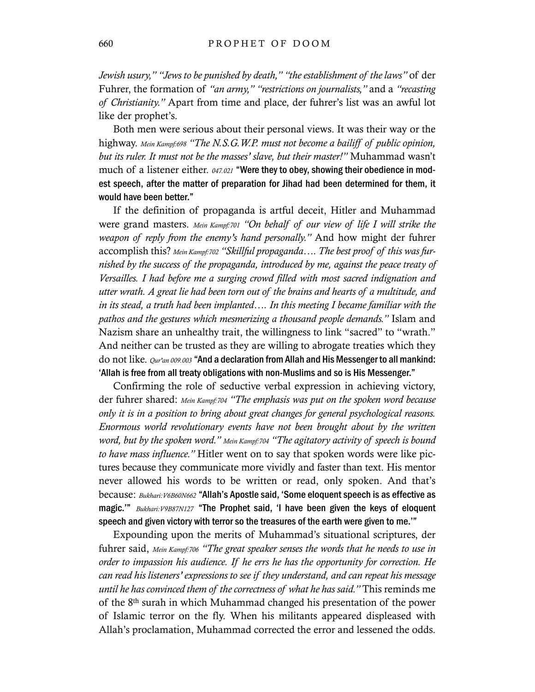*Jewish usury," "Jews to be punished by death," "the establishment of the laws"* of der Fuhrer, the formation of *"an army," "restrictions on journalists,"* and a *"recasting of Christianity."* Apart from time and place, der fuhrer's list was an awful lot like der prophet's.

Both men were serious about their personal views. It was their way or the highway. *Mein Kampf:698 "The N.S.G.W.P. must not become a bailiff of public opinion, but its ruler. It must not be the masses' slave, but their master!"* Muhammad wasn't much of a listener either. *047.021* "Were they to obey, showing their obedience in modest speech, after the matter of preparation for Jihad had been determined for them, it would have been better."

If the definition of propaganda is artful deceit, Hitler and Muhammad were grand masters. *Mein Kampf:701 "On behalf of our view of life I will strike the weapon of reply from the enemy's hand personally."* And how might der fuhrer accomplish this? *Mein Kampf:702 "Skillful propaganda…. The best proof of this was furnished by the success of the propaganda, introduced by me, against the peace treaty of Versailles. I had before me a surging crowd filled with most sacred indignation and utter wrath. A great lie had been torn out of the brains and hearts of a multitude, and in its stead, a truth had been implanted…. In this meeting I became familiar with the pathos and the gestures which mesmerizing a thousand people demands."* Islam and Nazism share an unhealthy trait, the willingness to link "sacred" to "wrath." And neither can be trusted as they are willing to abrogate treaties which they do not like. *Qur'an 009.003* "And a declaration from Allah and His Messenger to all mankind: 'Allah is free from all treaty obligations with non-Muslims and so is His Messenger."

Confirming the role of seductive verbal expression in achieving victory, der fuhrer shared: *Mein Kampf:704 "The emphasis was put on the spoken word because only it is in a position to bring about great changes for general psychological reasons. Enormous world revolutionary events have not been brought about by the written word, but by the spoken word." Mein Kampf:704 "The agitatory activity of speech is bound to have mass influence."* Hitler went on to say that spoken words were like pictures because they communicate more vividly and faster than text. His mentor never allowed his words to be written or read, only spoken. And that's because: *Bukhari:V6B60N662* "Allah's Apostle said, 'Some eloquent speech is as effective as magic.'" *Bukhari:V9B87N127* "The Prophet said, 'I have been given the keys of eloquent speech and given victory with terror so the treasures of the earth were given to me.'"

Expounding upon the merits of Muhammad's situational scriptures, der fuhrer said, *Mein Kampf:706 "The great speaker senses the words that he needs to use in order to impassion his audience. If he errs he has the opportunity for correction. He can read his listeners' expressions to see if they understand, and can repeat his message until he has convinced them of the correctness of what he has said."* This reminds me of the 8th surah in which Muhammad changed his presentation of the power of Islamic terror on the fly. When his militants appeared displeased with Allah's proclamation, Muhammad corrected the error and lessened the odds.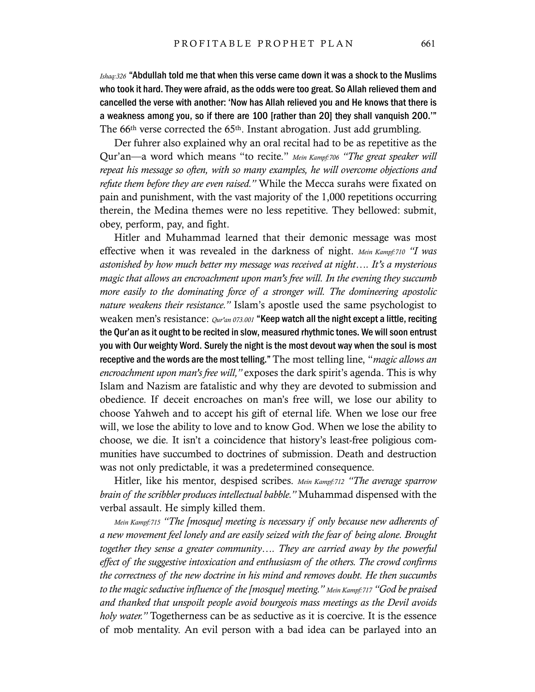*Ishaq:326* "Abdullah told me that when this verse came down it was a shock to the Muslims who took it hard. They were afraid, as the odds were too great. So Allah relieved them and cancelled the verse with another: 'Now has Allah relieved you and He knows that there is a weakness among you, so if there are 100 [rather than 20] they shall vanquish 200.'" The 66<sup>th</sup> verse corrected the 65<sup>th</sup>. Instant abrogation. Just add grumbling.

Der fuhrer also explained why an oral recital had to be as repetitive as the Qur'an—a word which means "to recite." *Mein Kampf:706 "The great speaker will repeat his message so often, with so many examples, he will overcome objections and refute them before they are even raised."* While the Mecca surahs were fixated on pain and punishment, with the vast majority of the 1,000 repetitions occurring therein, the Medina themes were no less repetitive. They bellowed: submit, obey, perform, pay, and fight.

Hitler and Muhammad learned that their demonic message was most effective when it was revealed in the darkness of night. *Mein Kampf:710 "I was astonished by how much better my message was received at night…. It's a mysterious magic that allows an encroachment upon man's free will. In the evening they succumb more easily to the dominating force of a stronger will. The domineering apostolic nature weakens their resistance."* Islam's apostle used the same psychologist to weaken men's resistance: *Qur'an 073.001* "Keep watch all the night except a little, reciting the Qur'an as it ought to be recited in slow, measured rhythmic tones. We will soon entrust you with Our weighty Word. Surely the night is the most devout way when the soul is most receptive and the words are the most telling." The most telling line, "*magic allows an encroachment upon man's free will,"* exposes the dark spirit's agenda. This is why Islam and Nazism are fatalistic and why they are devoted to submission and obedience. If deceit encroaches on man's free will, we lose our ability to choose Yahweh and to accept his gift of eternal life. When we lose our free will, we lose the ability to love and to know God. When we lose the ability to choose, we die. It isn't a coincidence that history's least-free poligious communities have succumbed to doctrines of submission. Death and destruction was not only predictable, it was a predetermined consequence.

Hitler, like his mentor, despised scribes. *Mein Kampf:712 "The average sparrow brain of the scribbler produces intellectual babble."* Muhammad dispensed with the verbal assault. He simply killed them.

*Mein Kampf:715 "The [mosque] meeting is necessary if only because new adherents of a new movement feel lonely and are easily seized with the fear of being alone. Brought together they sense a greater community…. They are carried away by the powerful effect of the suggestive intoxication and enthusiasm of the others. The crowd confirms the correctness of the new doctrine in his mind and removes doubt. He then succumbs to the magic seductive influence of the [mosque] meeting." Mein Kampf:717 "God be praised and thanked that unspoilt people avoid bourgeois mass meetings as the Devil avoids holy water."* Togetherness can be as seductive as it is coercive. It is the essence of mob mentality. An evil person with a bad idea can be parlayed into an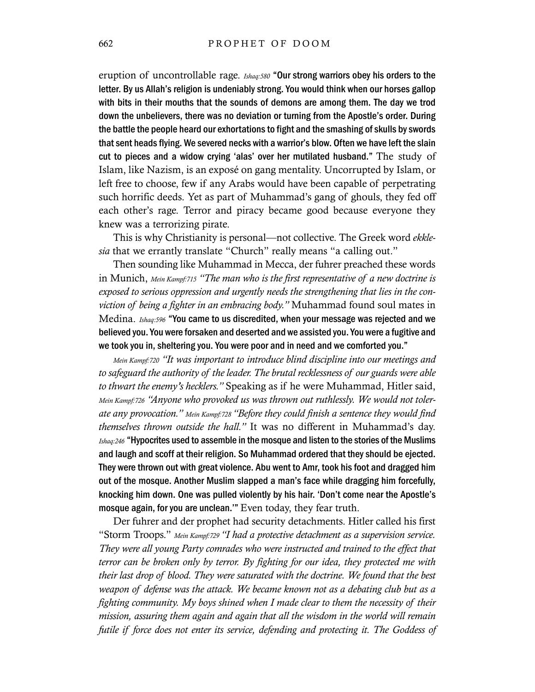eruption of uncontrollable rage. *Ishaq:580* "Our strong warriors obey his orders to the letter. By us Allah's religion is undeniably strong. You would think when our horses gallop with bits in their mouths that the sounds of demons are among them. The day we trod down the unbelievers, there was no deviation or turning from the Apostle's order. During the battle the people heard our exhortations to fight and the smashing of skulls by swords that sent heads flying. We severed necks with a warrior's blow. Often we have left the slain cut to pieces and a widow crying 'alas' over her mutilated husband." The study of Islam, like Nazism, is an exposé on gang mentality. Uncorrupted by Islam, or left free to choose, few if any Arabs would have been capable of perpetrating such horrific deeds. Yet as part of Muhammad's gang of ghouls, they fed off each other's rage. Terror and piracy became good because everyone they knew was a terrorizing pirate.

This is why Christianity is personal—not collective. The Greek word *ekklesia* that we errantly translate "Church" really means "a calling out."

Then sounding like Muhammad in Mecca, der fuhrer preached these words in Munich, *Mein Kampf:715 "The man who is the first representative of a new doctrine is exposed to serious oppression and urgently needs the strengthening that lies in the conviction of being a fighter in an embracing body."* Muhammad found soul mates in Medina. *Ishaq:596* "You came to us discredited, when your message was rejected and we believed you. You were forsaken and deserted and we assisted you. You were a fugitive and we took you in, sheltering you. You were poor and in need and we comforted you."

*Mein Kampf:720 "It was important to introduce blind discipline into our meetings and to safeguard the authority of the leader. The brutal recklessness of our guards were able to thwart the enemy's hecklers."* Speaking as if he were Muhammad, Hitler said, *Mein Kampf:726 "Anyone who provoked us was thrown out ruthlessly. We would not tolerate any provocation." Mein Kampf:728 "Before they could finish a sentence they would find themselves thrown outside the hall."* It was no different in Muhammad's day. *Ishaq:246* "Hypocrites used to assemble in the mosque and listen to the stories of the Muslims and laugh and scoff at their religion. So Muhammad ordered that they should be ejected. They were thrown out with great violence. Abu went to Amr, took his foot and dragged him out of the mosque. Another Muslim slapped a man's face while dragging him forcefully, knocking him down. One was pulled violently by his hair. 'Don't come near the Apostle's mosque again, for you are unclean.'" Even today, they fear truth.

Der fuhrer and der prophet had security detachments. Hitler called his first "Storm Troops." *Mein Kampf:729 "I had a protective detachment as a supervision service. They were all young Party comrades who were instructed and trained to the effect that terror can be broken only by terror. By fighting for our idea, they protected me with their last drop of blood. They were saturated with the doctrine. We found that the best weapon of defense was the attack. We became known not as a debating club but as a fighting community. My boys shined when I made clear to them the necessity of their mission, assuring them again and again that all the wisdom in the world will remain futile if force does not enter its service, defending and protecting it. The Goddess of*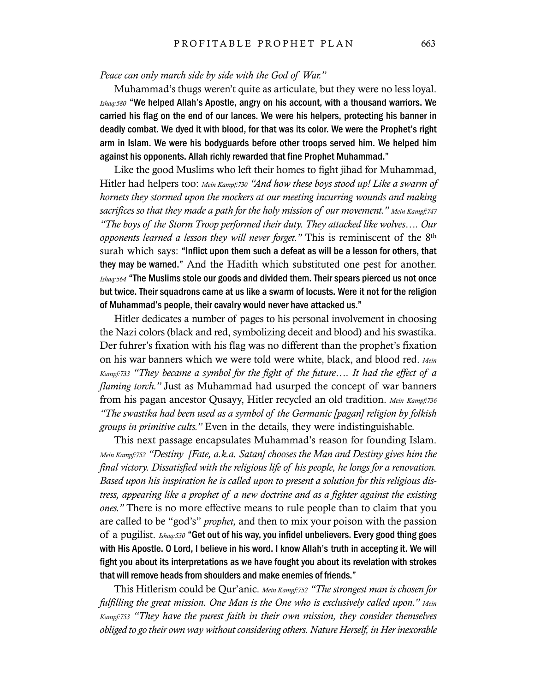## *Peace can only march side by side with the God of War."*

Muhammad's thugs weren't quite as articulate, but they were no less loyal. *Ishaq:580* "We helped Allah's Apostle, angry on his account, with a thousand warriors. We carried his flag on the end of our lances. We were his helpers, protecting his banner in deadly combat. We dyed it with blood, for that was its color. We were the Prophet's right arm in Islam. We were his bodyguards before other troops served him. We helped him against his opponents. Allah richly rewarded that fine Prophet Muhammad."

Like the good Muslims who left their homes to fight jihad for Muhammad, Hitler had helpers too: *Mein Kampf:730 "And how these boys stood up! Like a swarm of hornets they stormed upon the mockers at our meeting incurring wounds and making sacrifices so that they made a path for the holy mission of our movement." Mein Kampf:747 "The boys of the Storm Troop performed their duty. They attacked like wolves…. Our opponents learned a lesson they will never forget."* This is reminiscent of the 8th surah which says: "Inflict upon them such a defeat as will be a lesson for others, that they may be warned." And the Hadith which substituted one pest for another. *Ishaq:564* "The Muslims stole our goods and divided them. Their spears pierced us not once but twice. Their squadrons came at us like a swarm of locusts. Were it not for the religion of Muhammad's people, their cavalry would never have attacked us."

Hitler dedicates a number of pages to his personal involvement in choosing the Nazi colors (black and red, symbolizing deceit and blood) and his swastika. Der fuhrer's fixation with his flag was no different than the prophet's fixation on his war banners which we were told were white, black, and blood red. *Mein Kampf:733 "They became a symbol for the fight of the future…. It had the effect of a flaming torch."* Just as Muhammad had usurped the concept of war banners from his pagan ancestor Qusayy, Hitler recycled an old tradition. *Mein Kampf:736 "The swastika had been used as a symbol of the Germanic [pagan] religion by folkish groups in primitive cults."* Even in the details, they were indistinguishable.

This next passage encapsulates Muhammad's reason for founding Islam. *Mein Kampf:752 "Destiny [Fate, a.k.a. Satan] chooses the Man and Destiny gives him the final victory. Dissatisfied with the religious life of his people, he longs for a renovation. Based upon his inspiration he is called upon to present a solution for this religious distress, appearing like a prophet of a new doctrine and as a fighter against the existing ones."* There is no more effective means to rule people than to claim that you are called to be "god's" *prophet,* and then to mix your poison with the passion of a pugilist. *Ishaq:530* "Get out of his way, you infidel unbelievers. Every good thing goes with His Apostle. O Lord, I believe in his word. I know Allah's truth in accepting it. We will fight you about its interpretations as we have fought you about its revelation with strokes that will remove heads from shoulders and make enemies of friends."

This Hitlerism could be Qur'anic. *Mein Kampf:752 "The strongest man is chosen for fulfilling the great mission. One Man is the One who is exclusively called upon." Mein Kampf:753 "They have the purest faith in their own mission, they consider themselves obliged to go their own way without considering others. Nature Herself, in Her inexorable*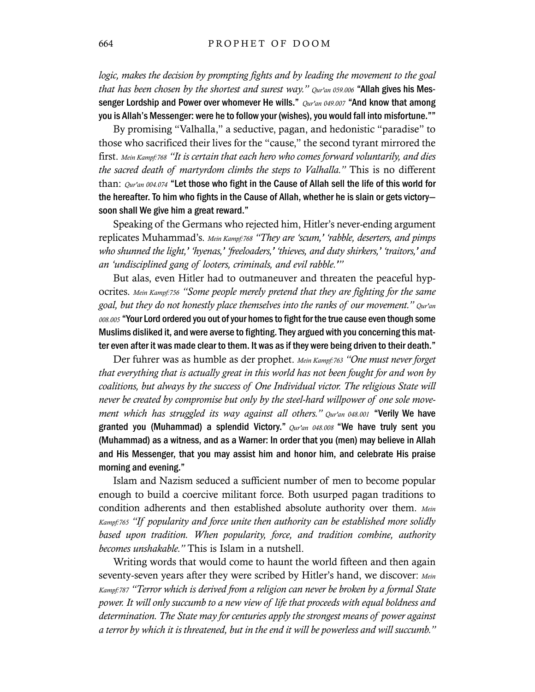*logic, makes the decision by prompting fights and by leading the movement to the goal that has been chosen by the shortest and surest way." Qur'an 059.006* "Allah gives his Messenger Lordship and Power over whomever He wills." *Qur'an 049.007* "And know that among you is Allah's Messenger: were he to follow your (wishes), you would fall into misfortune.""

By promising "Valhalla," a seductive, pagan, and hedonistic "paradise" to those who sacrificed their lives for the "cause," the second tyrant mirrored the first. *Mein Kampf:768 "It is certain that each hero who comes forward voluntarily, and dies the sacred death of martyrdom climbs the steps to Valhalla."* This is no different than: *Qur'an 004.074* "Let those who fight in the Cause of Allah sell the life of this world for the hereafter. To him who fights in the Cause of Allah, whether he is slain or gets victory soon shall We give him a great reward."

Speaking of the Germans who rejected him, Hitler's never-ending argument replicates Muhammad's. *Mein Kampf:768 "They are 'scum,' 'rabble, deserters, and pimps who shunned the light,' 'hyenas,' 'freeloaders,' 'thieves, and duty shirkers,' 'traitors,' and an 'undisciplined gang of looters, criminals, and evil rabble.'"*

But alas, even Hitler had to outmaneuver and threaten the peaceful hypocrites. *Mein Kampf:756 "Some people merely pretend that they are fighting for the same goal, but they do not honestly place themselves into the ranks of our movement." Qur'an 008.005* "Your Lord ordered you out of your homes to fight for the true cause even though some Muslims disliked it, and were averse to fighting. They argued with you concerning this matter even after it was made clear to them. It was as if they were being driven to their death."

Der fuhrer was as humble as der prophet. *Mein Kampf:763 "One must never forget that everything that is actually great in this world has not been fought for and won by coalitions, but always by the success of One Individual victor. The religious State will never be created by compromise but only by the steel-hard willpower of one sole movement which has struggled its way against all others." Qur'an 048.001* "Verily We have granted you (Muhammad) a splendid Victory." *Qur'an 048.008* "We have truly sent you (Muhammad) as a witness, and as a Warner: In order that you (men) may believe in Allah and His Messenger, that you may assist him and honor him, and celebrate His praise morning and evening."

Islam and Nazism seduced a sufficient number of men to become popular enough to build a coercive militant force. Both usurped pagan traditions to condition adherents and then established absolute authority over them. *Mein Kampf:765 "If popularity and force unite then authority can be established more solidly based upon tradition. When popularity, force, and tradition combine, authority becomes unshakable."* This is Islam in a nutshell.

Writing words that would come to haunt the world fifteen and then again seventy-seven years after they were scribed by Hitler's hand, we discover: *Mein Kampf:787 "Terror which is derived from a religion can never be broken by a formal State power. It will only succumb to a new view of life that proceeds with equal boldness and determination. The State may for centuries apply the strongest means of power against a terror by which it is threatened, but in the end it will be powerless and will succumb."*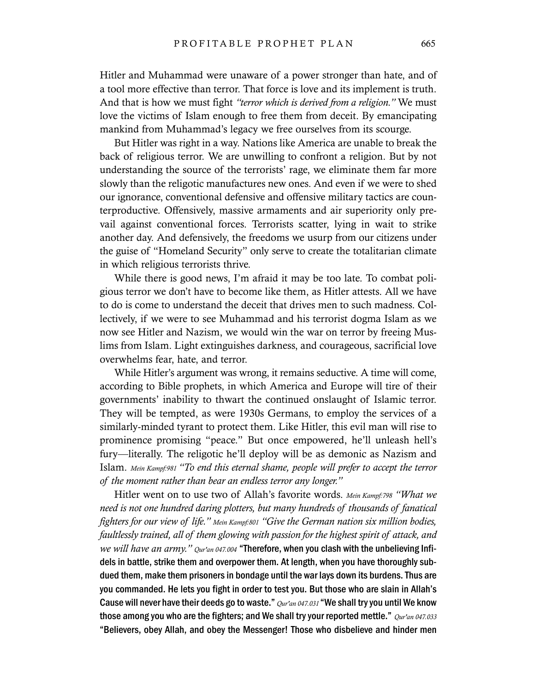Hitler and Muhammad were unaware of a power stronger than hate, and of a tool more effective than terror. That force is love and its implement is truth. And that is how we must fight *"terror which is derived from a religion."* We must love the victims of Islam enough to free them from deceit. By emancipating mankind from Muhammad's legacy we free ourselves from its scourge.

But Hitler was right in a way. Nations like America are unable to break the back of religious terror. We are unwilling to confront a religion. But by not understanding the source of the terrorists' rage, we eliminate them far more slowly than the religotic manufactures new ones. And even if we were to shed our ignorance, conventional defensive and offensive military tactics are counterproductive. Offensively, massive armaments and air superiority only prevail against conventional forces. Terrorists scatter, lying in wait to strike another day. And defensively, the freedoms we usurp from our citizens under the guise of "Homeland Security" only serve to create the totalitarian climate in which religious terrorists thrive.

While there is good news, I'm afraid it may be too late. To combat poligious terror we don't have to become like them, as Hitler attests. All we have to do is come to understand the deceit that drives men to such madness. Collectively, if we were to see Muhammad and his terrorist dogma Islam as we now see Hitler and Nazism, we would win the war on terror by freeing Muslims from Islam. Light extinguishes darkness, and courageous, sacrificial love overwhelms fear, hate, and terror.

While Hitler's argument was wrong, it remains seductive. A time will come, according to Bible prophets, in which America and Europe will tire of their governments' inability to thwart the continued onslaught of Islamic terror. They will be tempted, as were 1930s Germans, to employ the services of a similarly-minded tyrant to protect them. Like Hitler, this evil man will rise to prominence promising "peace." But once empowered, he'll unleash hell's fury—literally. The religotic he'll deploy will be as demonic as Nazism and Islam. *Mein Kampf:981 "To end this eternal shame, people will prefer to accept the terror of the moment rather than bear an endless terror any longer."*

Hitler went on to use two of Allah's favorite words. *Mein Kampf:798 "What we need is not one hundred daring plotters, but many hundreds of thousands of fanatical fighters for our view of life." Mein Kampf:801 "Give the German nation six million bodies, faultlessly trained, all of them glowing with passion for the highest spirit of attack, and we will have an army." Qur'an 047.004* "Therefore, when you clash with the unbelieving Infidels in battle, strike them and overpower them. At length, when you have thoroughly subdued them, make them prisoners in bondage until the war lays down its burdens. Thus are you commanded. He lets you fight in order to test you. But those who are slain in Allah's Cause will never have their deeds go to waste." *Qur'an 047.031* "We shall try you until We know those among you who are the fighters; and We shall try your reported mettle." *Qur'an 047.033* "Believers, obey Allah, and obey the Messenger! Those who disbelieve and hinder men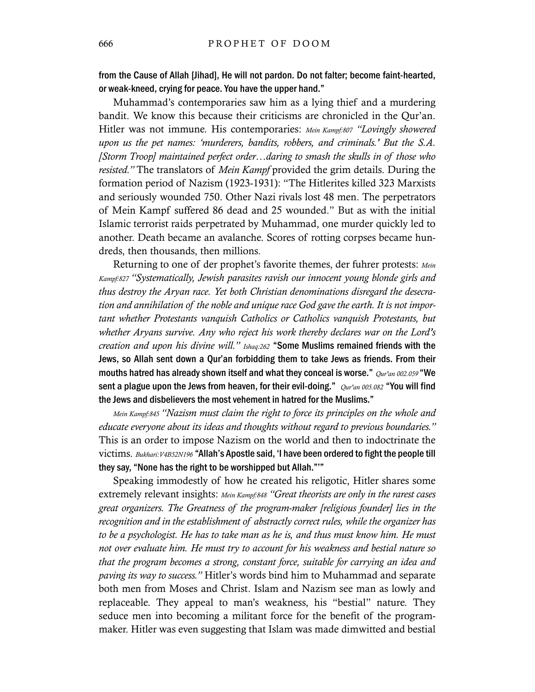from the Cause of Allah [Jihad], He will not pardon. Do not falter; become faint-hearted, or weak-kneed, crying for peace. You have the upper hand."

Muhammad's contemporaries saw him as a lying thief and a murdering bandit. We know this because their criticisms are chronicled in the Qur'an. Hitler was not immune. His contemporaries: *Mein Kampf:807 "Lovingly showered upon us the pet names: 'murderers, bandits, robbers, and criminals.' But the S.A. [Storm Troop] maintained perfect order…daring to smash the skulls in of those who resisted."* The translators of *Mein Kampf* provided the grim details. During the formation period of Nazism (1923-1931): "The Hitlerites killed 323 Marxists and seriously wounded 750. Other Nazi rivals lost 48 men. The perpetrators of Mein Kampf suffered 86 dead and 25 wounded." But as with the initial Islamic terrorist raids perpetrated by Muhammad, one murder quickly led to another. Death became an avalanche. Scores of rotting corpses became hundreds, then thousands, then millions.

Returning to one of der prophet's favorite themes, der fuhrer protests: *Mein Kampf:827 "Systematically, Jewish parasites ravish our innocent young blonde girls and thus destroy the Aryan race. Yet both Christian denominations disregard the desecration and annihilation of the noble and unique race God gave the earth. It is not important whether Protestants vanquish Catholics or Catholics vanquish Protestants, but whether Aryans survive. Any who reject his work thereby declares war on the Lord's creation and upon his divine will." Ishaq:262* "Some Muslims remained friends with the Jews, so Allah sent down a Qur'an forbidding them to take Jews as friends. From their mouths hatred has already shown itself and what they conceal is worse." *Qur'an 002.059* "We sent a plague upon the Jews from heaven, for their evil-doing." *Qur'an 005.082* "You will find the Jews and disbelievers the most vehement in hatred for the Muslims."

*Mein Kampf:845 "Nazism must claim the right to force its principles on the whole and educate everyone about its ideas and thoughts without regard to previous boundaries."* This is an order to impose Nazism on the world and then to indoctrinate the victims. *Bukhari:V4B52N196* "Allah's Apostle said, 'I have been ordered to fight the people till they say, "None has the right to be worshipped but Allah."'"

Speaking immodestly of how he created his religotic, Hitler shares some extremely relevant insights: *Mein Kampf:848 "Great theorists are only in the rarest cases great organizers. The Greatness of the program-maker [religious founder] lies in the recognition and in the establishment of abstractly correct rules, while the organizer has to be a psychologist. He has to take man as he is, and thus must know him. He must not over evaluate him. He must try to account for his weakness and bestial nature so that the program becomes a strong, constant force, suitable for carrying an idea and paving its way to success."* Hitler's words bind him to Muhammad and separate both men from Moses and Christ. Islam and Nazism see man as lowly and replaceable. They appeal to man's weakness, his "bestial" nature. They seduce men into becoming a militant force for the benefit of the programmaker. Hitler was even suggesting that Islam was made dimwitted and bestial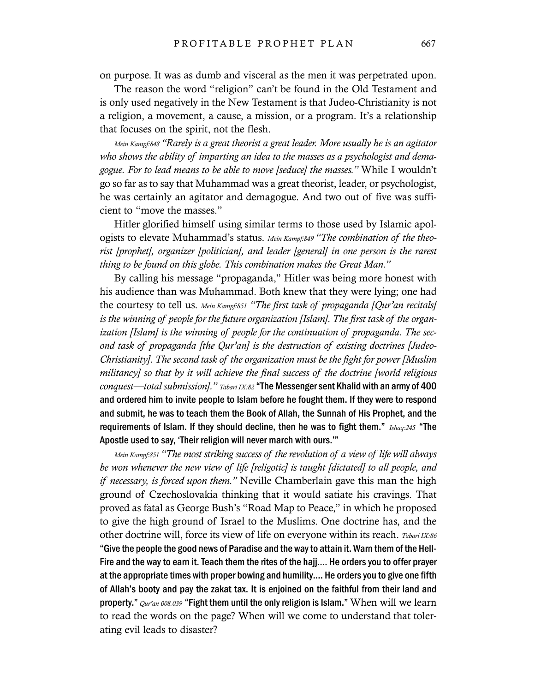on purpose. It was as dumb and visceral as the men it was perpetrated upon.

The reason the word "religion" can't be found in the Old Testament and is only used negatively in the New Testament is that Judeo-Christianity is not a religion, a movement, a cause, a mission, or a program. It's a relationship that focuses on the spirit, not the flesh.

*Mein Kampf:848 "Rarely is a great theorist a great leader. More usually he is an agitator who shows the ability of imparting an idea to the masses as a psychologist and demagogue. For to lead means to be able to move [seduce] the masses."* While I wouldn't go so far as to say that Muhammad was a great theorist, leader, or psychologist, he was certainly an agitator and demagogue. And two out of five was sufficient to "move the masses."

Hitler glorified himself using similar terms to those used by Islamic apologists to elevate Muhammad's status. *Mein Kampf:849 "The combination of the theorist [prophet], organizer [politician], and leader [general] in one person is the rarest thing to be found on this globe. This combination makes the Great Man."*

By calling his message "propaganda," Hitler was being more honest with his audience than was Muhammad. Both knew that they were lying; one had the courtesy to tell us. *Mein Kampf:851 "The first task of propaganda [Qur'an recitals] is the winning of people for the future organization [Islam]. The first task of the organization [Islam] is the winning of people for the continuation of propaganda. The second task of propaganda [the Qur'an] is the destruction of existing doctrines [Judeo-Christianity]. The second task of the organization must be the fight for power [Muslim militancy] so that by it will achieve the final success of the doctrine [world religious conquest—total submission]." Tabari IX:82* "The Messenger sent Khalid with an army of 400 and ordered him to invite people to Islam before he fought them. If they were to respond and submit, he was to teach them the Book of Allah, the Sunnah of His Prophet, and the requirements of Islam. If they should decline, then he was to fight them." *Ishaq:245* "The Apostle used to say, 'Their religion will never march with ours.'"

*Mein Kampf:851 "The most striking success of the revolution of a view of life will always be won whenever the new view of life [religotic] is taught [dictated] to all people, and if necessary, is forced upon them."* Neville Chamberlain gave this man the high ground of Czechoslovakia thinking that it would satiate his cravings. That proved as fatal as George Bush's "Road Map to Peace," in which he proposed to give the high ground of Israel to the Muslims. One doctrine has, and the other doctrine will, force its view of life on everyone within its reach. *Tabari IX:86* "Give the people the good news of Paradise and the way to attain it. Warn them of the Hell-Fire and the way to earn it. Teach them the rites of the hajj…. He orders you to offer prayer at the appropriate times with proper bowing and humility…. He orders you to give one fifth of Allah's booty and pay the zakat tax. It is enjoined on the faithful from their land and property." *Qur'an 008.039* "Fight them until the only religion is Islam." When will we learn to read the words on the page? When will we come to understand that tolerating evil leads to disaster?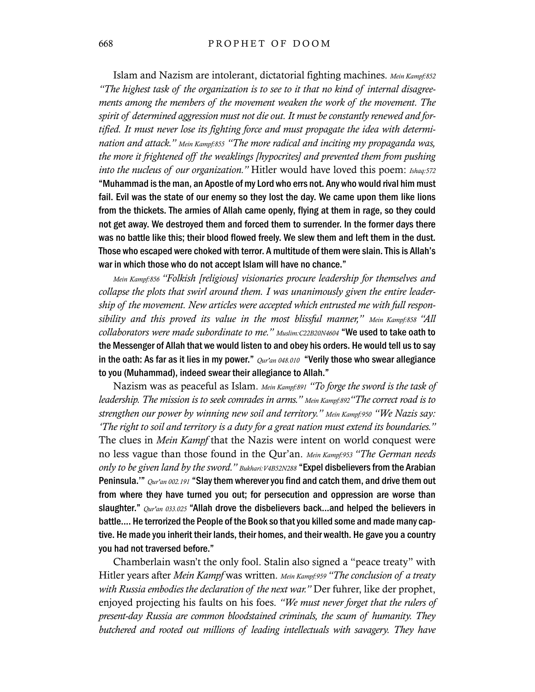Islam and Nazism are intolerant, dictatorial fighting machines. *Mein Kampf:852 "The highest task of the organization is to see to it that no kind of internal disagreements among the members of the movement weaken the work of the movement. The spirit of determined aggression must not die out. It must be constantly renewed and fortified. It must never lose its fighting force and must propagate the idea with determination and attack." Mein Kampf:855 "The more radical and inciting my propaganda was, the more it frightened off the weaklings [hypocrites] and prevented them from pushing into the nucleus of our organization."* Hitler would have loved this poem: *Ishaq:572* "Muhammad is the man, an Apostle of my Lord who errs not. Any who would rival him must fail. Evil was the state of our enemy so they lost the day. We came upon them like lions from the thickets. The armies of Allah came openly, flying at them in rage, so they could not get away. We destroyed them and forced them to surrender. In the former days there was no battle like this; their blood flowed freely. We slew them and left them in the dust. Those who escaped were choked with terror. A multitude of them were slain. This is Allah's war in which those who do not accept Islam will have no chance."

*Mein Kampf:856 "Folkish [religious] visionaries procure leadership for themselves and collapse the plots that swirl around them. I was unanimously given the entire leadership of the movement. New articles were accepted which entrusted me with full responsibility and this proved its value in the most blissful manner," Mein Kampf:858 "All collaborators were made subordinate to me." Muslim:C22B20N4604* "We used to take oath to the Messenger of Allah that we would listen to and obey his orders. He would tell us to say in the oath: As far as it lies in my power." *Qur'an 048.010* "Verily those who swear allegiance to you (Muhammad), indeed swear their allegiance to Allah."

Nazism was as peaceful as Islam. *Mein Kampf:891 "To forge the sword is the task of leadership. The mission is to seek comrades in arms." Mein Kampf:892"The correct road is to strengthen our power by winning new soil and territory." Mein Kampf:950 "We Nazis say: 'The right to soil and territory is a duty for a great nation must extend its boundaries."* The clues in *Mein Kampf* that the Nazis were intent on world conquest were no less vague than those found in the Qur'an. *Mein Kampf:953 "The German needs only to be given land by the sword." Bukhari:V4B52N288* "Expel disbelievers from the Arabian Peninsula.'" *Qur'an 002.191* "Slay them wherever you find and catch them, and drive them out from where they have turned you out; for persecution and oppression are worse than slaughter." *Qur'an 033.025* "Allah drove the disbelievers back...and helped the believers in battle.... He terrorized the People of the Book so that you killed some and made many captive. He made you inherit their lands, their homes, and their wealth. He gave you a country you had not traversed before."

Chamberlain wasn't the only fool. Stalin also signed a "peace treaty" with Hitler years after *Mein Kampf* was written. *Mein Kampf:959 "The conclusion of a treaty with Russia embodies the declaration of the next war."* Der fuhrer, like der prophet, enjoyed projecting his faults on his foes. *"We must never forget that the rulers of present-day Russia are common bloodstained criminals, the scum of humanity. They butchered and rooted out millions of leading intellectuals with savagery. They have*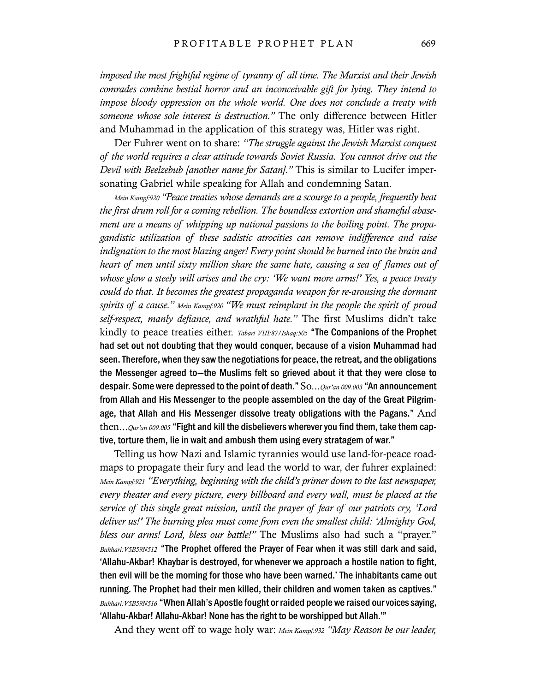*imposed the most frightful regime of tyranny of all time. The Marxist and their Jewish comrades combine bestial horror and an inconceivable gift for lying. They intend to impose bloody oppression on the whole world. One does not conclude a treaty with someone whose sole interest is destruction."* The only difference between Hitler and Muhammad in the application of this strategy was, Hitler was right.

Der Fuhrer went on to share: *"The struggle against the Jewish Marxist conquest of the world requires a clear attitude towards Soviet Russia. You cannot drive out the Devil with Beelzebub [another name for Satan]."* This is similar to Lucifer impersonating Gabriel while speaking for Allah and condemning Satan.

*Mein Kampf:920 "Peace treaties whose demands are a scourge to a people, frequently beat the first drum roll for a coming rebellion. The boundless extortion and shameful abasement are a means of whipping up national passions to the boiling point. The propagandistic utilization of these sadistic atrocities can remove indifference and raise indignation to the most blazing anger! Every point should be burned into the brain and heart of men until sixty million share the same hate, causing a sea of flames out of whose glow a steely will arises and the cry: 'We want more arms!' Yes, a peace treaty could do that. It becomes the greatest propaganda weapon for re-arousing the dormant spirits of a cause." Mein Kampf:920 "We must reimplant in the people the spirit of proud self-respect, manly defiance, and wrathful hate."* The first Muslims didn't take kindly to peace treaties either. *Tabari VIII:87/Ishaq:505* "The Companions of the Prophet had set out not doubting that they would conquer, because of a vision Muhammad had seen. Therefore, when they saw the negotiations for peace, the retreat, and the obligations the Messenger agreed to—the Muslims felt so grieved about it that they were close to despair. Some were depressed to the point of death." So...*Qur'an 009.003* "An announcement from Allah and His Messenger to the people assembled on the day of the Great Pilgrimage, that Allah and His Messenger dissolve treaty obligations with the Pagans." And then...*Qur'an 009.005* "Fight and kill the disbelievers wherever you find them, take them captive, torture them, lie in wait and ambush them using every stratagem of war."

Telling us how Nazi and Islamic tyrannies would use land-for-peace roadmaps to propagate their fury and lead the world to war, der fuhrer explained: *Mein Kampf:921 "Everything, beginning with the child's primer down to the last newspaper, every theater and every picture, every billboard and every wall, must be placed at the service of this single great mission, until the prayer of fear of our patriots cry, 'Lord deliver us!' The burning plea must come from even the smallest child: 'Almighty God, bless our arms! Lord, bless our battle!"* The Muslims also had such a "prayer." *Bukhari:V5B59N512* "The Prophet offered the Prayer of Fear when it was still dark and said, 'Allahu-Akbar! Khaybar is destroyed, for whenever we approach a hostile nation to fight, then evil will be the morning for those who have been warned.' The inhabitants came out running. The Prophet had their men killed, their children and women taken as captives." *Bukhari:V5B59N516* "When Allah's Apostle fought or raided people we raised ourvoices saying, 'Allahu-Akbar! Allahu-Akbar! None has the right to be worshipped but Allah.'"

And they went off to wage holy war: *Mein Kampf:932 "May Reason be our leader,*